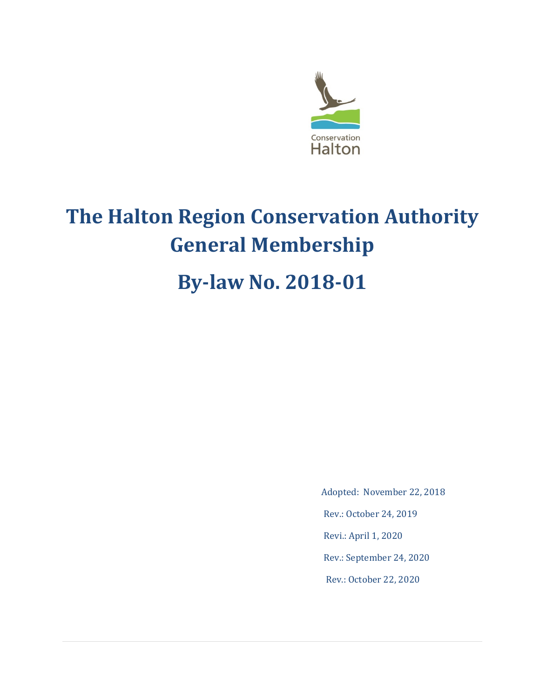

# **The Halton Region Conservation Authority General Membership**

## **By-law No. 2018-01**

Adopted: November 22, 2018

Rev.: October 24, 2019

Revi.: April 1, 2020

Rev.: September 24, 2020

Rev.: October 22, 2020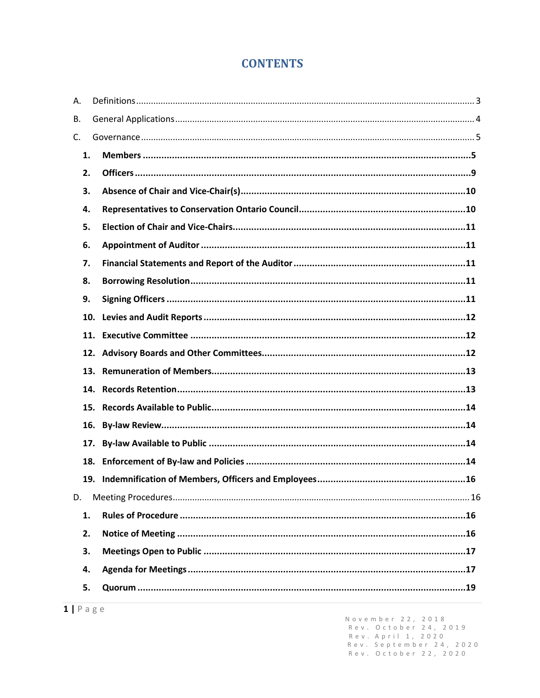## **CONTENTS**

| А.  |     |  |
|-----|-----|--|
| В.  |     |  |
| C.  |     |  |
| 1.  |     |  |
| 2.  |     |  |
| 3.  |     |  |
| 4.  |     |  |
| 5.  |     |  |
| 6.  |     |  |
| 7.  |     |  |
| 8.  |     |  |
| 9.  |     |  |
|     | 10. |  |
|     | 11. |  |
|     | 12. |  |
|     | 13. |  |
|     | 14. |  |
|     | 15. |  |
|     | 16. |  |
| 17. |     |  |
| 18. |     |  |
|     |     |  |
| D.  |     |  |
| 1.  |     |  |
| 2.  |     |  |
| 3.  |     |  |
| 4.  |     |  |
| 5.  |     |  |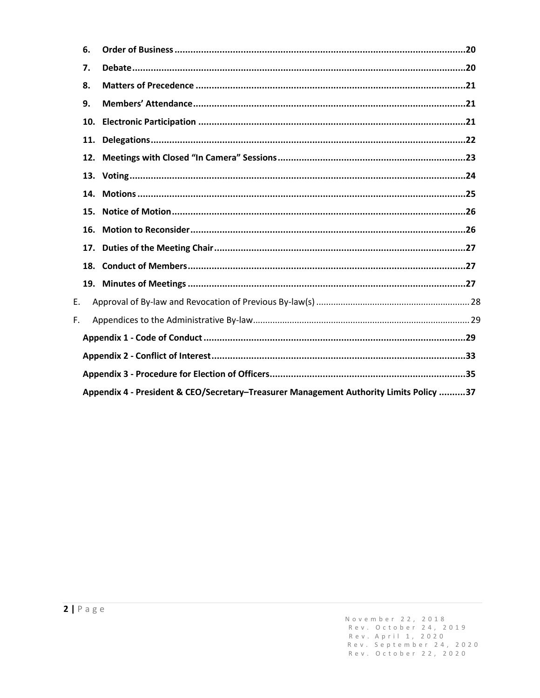|    | 6.                                                                                     |  |  |  |
|----|----------------------------------------------------------------------------------------|--|--|--|
|    | 7.                                                                                     |  |  |  |
|    | 8.                                                                                     |  |  |  |
|    | 9.                                                                                     |  |  |  |
|    | 10.                                                                                    |  |  |  |
|    | 11.                                                                                    |  |  |  |
|    |                                                                                        |  |  |  |
|    |                                                                                        |  |  |  |
|    | 14.                                                                                    |  |  |  |
|    | 15.                                                                                    |  |  |  |
|    | 16.                                                                                    |  |  |  |
|    | 17.                                                                                    |  |  |  |
|    | 18.                                                                                    |  |  |  |
|    |                                                                                        |  |  |  |
| Ε. |                                                                                        |  |  |  |
| F. |                                                                                        |  |  |  |
|    |                                                                                        |  |  |  |
|    |                                                                                        |  |  |  |
|    |                                                                                        |  |  |  |
|    | Appendix 4 - President & CEO/Secretary-Treasurer Management Authority Limits Policy 37 |  |  |  |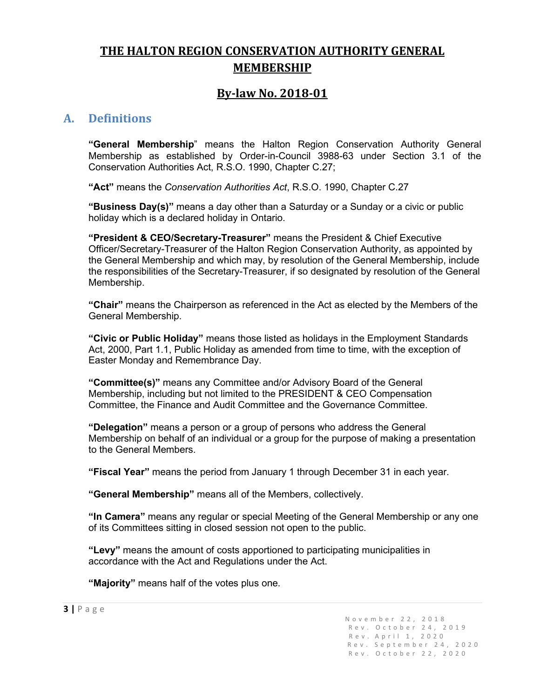## **THE HALTON REGION CONSERVATION AUTHORITY GENERAL MEMBERSHIP**

## **By-law No. 2018-01**

## <span id="page-3-0"></span>**A. Definitions**

**"General Membership**" means the Halton Region Conservation Authority General Membership as established by Order-in-Council 3988-63 under Section 3.1 of the Conservation Authorities Act, R.S.O. 1990, Chapter C.27;

**"Act"** means the *Conservation Authorities Act*, R.S.O. 1990, Chapter C.27

**"Business Day(s)"** means a day other than a Saturday or a Sunday or a civic or public holiday which is a declared holiday in Ontario.

**"President & CEO/Secretary-Treasurer"** means the President & Chief Executive Officer/Secretary-Treasurer of the Halton Region Conservation Authority, as appointed by the General Membership and which may, by resolution of the General Membership, include the responsibilities of the Secretary-Treasurer, if so designated by resolution of the General Membership.

**"Chair"** means the Chairperson as referenced in the Act as elected by the Members of the General Membership.

**"Civic or Public Holiday"** means those listed as holidays in the Employment Standards Act, 2000, Part 1.1, Public Holiday as amended from time to time, with the exception of Easter Monday and Remembrance Day.

**"Committee(s)"** means any Committee and/or Advisory Board of the General Membership, including but not limited to the PRESIDENT & CEO Compensation Committee, the Finance and Audit Committee and the Governance Committee.

**"Delegation"** means a person or a group of persons who address the General Membership on behalf of an individual or a group for the purpose of making a presentation to the General Members.

**"Fiscal Year"** means the period from January 1 through December 31 in each year.

**"General Membership"** means all of the Members, collectively.

**"In Camera"** means any regular or special Meeting of the General Membership or any one of its Committees sitting in closed session not open to the public.

**"Levy"** means the amount of costs apportioned to participating municipalities in accordance with the Act and Regulations under the Act.

**"Majority"** means half of the votes plus one.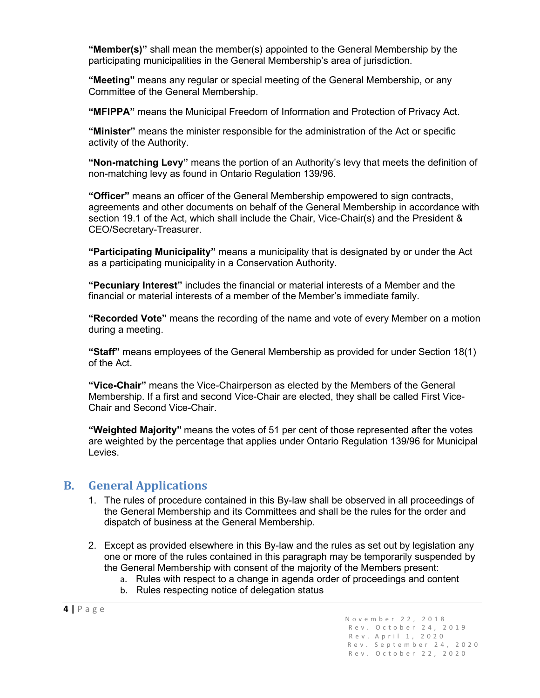**"Member(s)"** shall mean the member(s) appointed to the General Membership by the participating municipalities in the General Membership's area of jurisdiction.

**"Meeting"** means any regular or special meeting of the General Membership, or any Committee of the General Membership.

**"MFIPPA"** means the Municipal Freedom of Information and Protection of Privacy Act.

**"Minister"** means the minister responsible for the administration of the Act or specific activity of the Authority.

**"Non-matching Levy"** means the portion of an Authority's levy that meets the definition of non-matching levy as found in Ontario Regulation 139/96.

**"Officer"** means an officer of the General Membership empowered to sign contracts, agreements and other documents on behalf of the General Membership in accordance with section 19.1 of the Act, which shall include the Chair, Vice-Chair(s) and the President & CEO/Secretary-Treasurer.

**"Participating Municipality"** means a municipality that is designated by or under the Act as a participating municipality in a Conservation Authority.

**"Pecuniary Interest"** includes the financial or material interests of a Member and the financial or material interests of a member of the Member's immediate family.

**"Recorded Vote"** means the recording of the name and vote of every Member on a motion during a meeting.

**"Staff"** means employees of the General Membership as provided for under Section 18(1) of the Act.

**"Vice-Chair"** means the Vice-Chairperson as elected by the Members of the General Membership. If a first and second Vice-Chair are elected, they shall be called First Vice-Chair and Second Vice-Chair.

**"Weighted Majority"** means the votes of 51 per cent of those represented after the votes are weighted by the percentage that applies under Ontario Regulation 139/96 for Municipal Levies.

## <span id="page-4-0"></span>**B. General Applications**

- 1. The rules of procedure contained in this By-law shall be observed in all proceedings of the General Membership and its Committees and shall be the rules for the order and dispatch of business at the General Membership.
- 2. Except as provided elsewhere in this By-law and the rules as set out by legislation any one or more of the rules contained in this paragraph may be temporarily suspended by the General Membership with consent of the majority of the Members present:
	- a. Rules with respect to a change in agenda order of proceedings and content
	- b. Rules respecting notice of delegation status

**<sup>4</sup> <sup>|</sup>**Page November 22, 2018 Rev . October 24, 2019 Rev.A p ril 1, 2020 Rev. September 24, 2020 Rev. October 22, 2020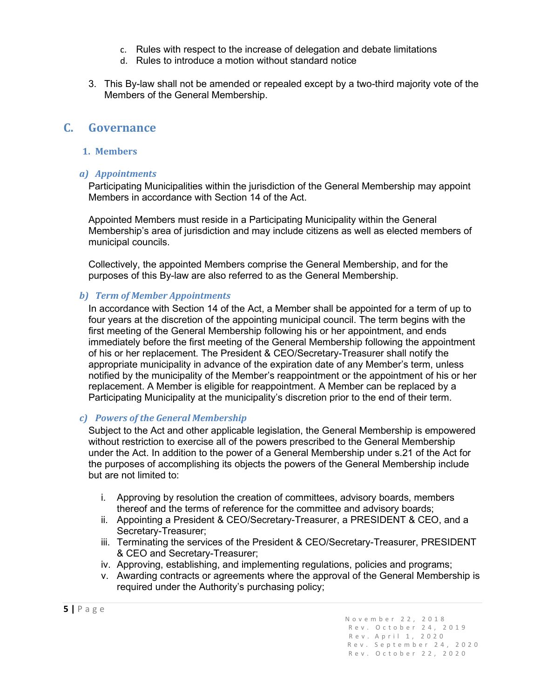- c. Rules with respect to the increase of delegation and debate limitations
- d. Rules to introduce a motion without standard notice
- 3. This By-law shall not be amended or repealed except by a two-third majority vote of the Members of the General Membership.

#### <span id="page-5-1"></span><span id="page-5-0"></span>**C. Governance**

#### **1. Members**

#### *a) Appointments*

Participating Municipalities within the jurisdiction of the General Membership may appoint Members in accordance with Section 14 of the Act.

Appointed Members must reside in a Participating Municipality within the General Membership's area of jurisdiction and may include citizens as well as elected members of municipal councils.

Collectively, the appointed Members comprise the General Membership, and for the purposes of this By-law are also referred to as the General Membership.

#### *b) Term of Member Appointments*

In accordance with Section 14 of the Act, a Member shall be appointed for a term of up to four years at the discretion of the appointing municipal council. The term begins with the first meeting of the General Membership following his or her appointment, and ends immediately before the first meeting of the General Membership following the appointment of his or her replacement. The President & CEO/Secretary-Treasurer shall notify the appropriate municipality in advance of the expiration date of any Member's term, unless notified by the municipality of the Member's reappointment or the appointment of his or her replacement. A Member is eligible for reappointment. A Member can be replaced by a Participating Municipality at the municipality's discretion prior to the end of their term.

#### *c) Powers of the General Membership*

Subject to the Act and other applicable legislation, the General Membership is empowered without restriction to exercise all of the powers prescribed to the General Membership under the Act. In addition to the power of a General Membership under s.21 of the Act for the purposes of accomplishing its objects the powers of the General Membership include but are not limited to:

- i. Approving by resolution the creation of committees, advisory boards, members thereof and the terms of reference for the committee and advisory boards;
- ii. Appointing a President & CEO/Secretary-Treasurer, a PRESIDENT & CEO, and a Secretary-Treasurer;
- iii. Terminating the services of the President & CEO/Secretary-Treasurer, PRESIDENT & CEO and Secretary-Treasurer;
- iv. Approving, establishing, and implementing regulations, policies and programs;
- v. Awarding contracts or agreements where the approval of the General Membership is required under the Authority's purchasing policy;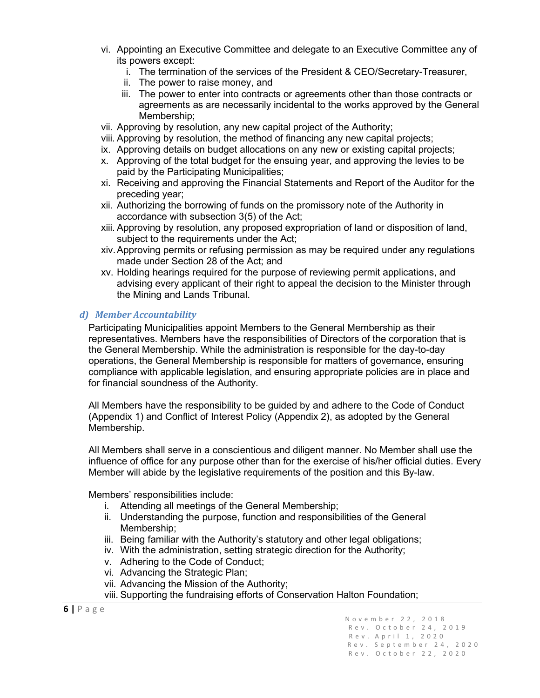- vi. Appointing an Executive Committee and delegate to an Executive Committee any of its powers except:
	- i. The termination of the services of the President & CEO/Secretary-Treasurer,
	- ii. The power to raise money, and
	- iii. The power to enter into contracts or agreements other than those contracts or agreements as are necessarily incidental to the works approved by the General Membership;
- vii. Approving by resolution, any new capital project of the Authority;
- viii. Approving by resolution, the method of financing any new capital projects;
- ix. Approving details on budget allocations on any new or existing capital projects;
- x. Approving of the total budget for the ensuing year, and approving the levies to be paid by the Participating Municipalities;
- xi. Receiving and approving the Financial Statements and Report of the Auditor for the preceding year;
- xii. Authorizing the borrowing of funds on the promissory note of the Authority in accordance with subsection 3(5) of the Act;
- xiii. Approving by resolution, any proposed expropriation of land or disposition of land, subject to the requirements under the Act:
- xiv.Approving permits or refusing permission as may be required under any regulations made under Section 28 of the Act; and
- xv. Holding hearings required for the purpose of reviewing permit applications, and advising every applicant of their right to appeal the decision to the Minister through the Mining and Lands Tribunal.

#### *d) Member Accountability*

Participating Municipalities appoint Members to the General Membership as their representatives. Members have the responsibilities of Directors of the corporation that is the General Membership. While the administration is responsible for the day-to-day operations, the General Membership is responsible for matters of governance, ensuring compliance with applicable legislation, and ensuring appropriate policies are in place and for financial soundness of the Authority.

All Members have the responsibility to be guided by and adhere to the Code of Conduct (Appendix 1) and Conflict of Interest Policy (Appendix 2), as adopted by the General Membership.

All Members shall serve in a conscientious and diligent manner. No Member shall use the influence of office for any purpose other than for the exercise of his/her official duties. Every Member will abide by the legislative requirements of the position and this By-law.

Members' responsibilities include:

- i. Attending all meetings of the General Membership;
- ii. Understanding the purpose, function and responsibilities of the General Membership;
- iii. Being familiar with the Authority's statutory and other legal obligations;
- iv. With the administration, setting strategic direction for the Authority;
- v. Adhering to the Code of Conduct;
- vi. Advancing the Strategic Plan;
- vii. Advancing the Mission of the Authority;
- viii. Supporting the fundraising efforts of Conservation Halton Foundation;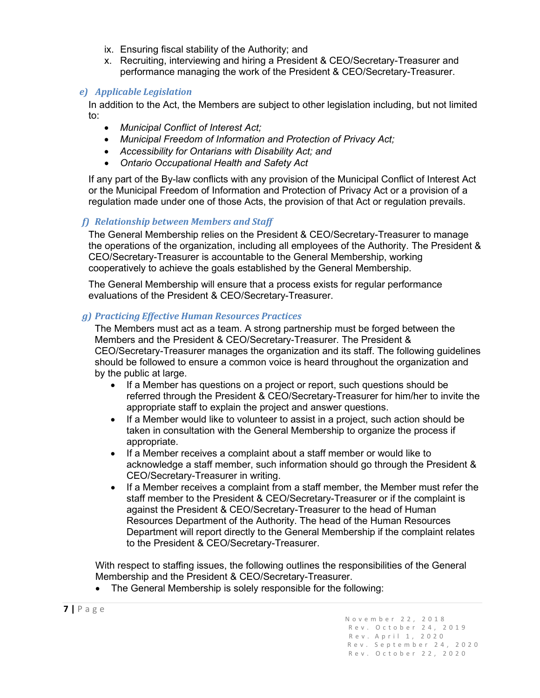- ix. Ensuring fiscal stability of the Authority; and
- x. Recruiting, interviewing and hiring a President & CEO/Secretary-Treasurer and performance managing the work of the President & CEO/Secretary-Treasurer.

#### *e) Applicable Legislation*

In addition to the Act, the Members are subject to other legislation including, but not limited to:

- *Municipal Conflict of Interest Act;*
- *Municipal Freedom of Information and Protection of Privacy Act;*
- *Accessibility for Ontarians with Disability Act; and*
- *Ontario Occupational Health and Safety Act*

If any part of the By-law conflicts with any provision of the Municipal Conflict of Interest Act or the Municipal Freedom of Information and Protection of Privacy Act or a provision of a regulation made under one of those Acts, the provision of that Act or regulation prevails.

#### *f) Relationship between Members and Staff*

The General Membership relies on the President & CEO/Secretary-Treasurer to manage the operations of the organization, including all employees of the Authority. The President & CEO/Secretary-Treasurer is accountable to the General Membership, working cooperatively to achieve the goals established by the General Membership.

The General Membership will ensure that a process exists for regular performance evaluations of the President & CEO/Secretary-Treasurer.

#### *g) Practicing Effective Human Resources Practices*

The Members must act as a team. A strong partnership must be forged between the Members and the President & CEO/Secretary-Treasurer. The President & CEO/Secretary-Treasurer manages the organization and its staff. The following guidelines should be followed to ensure a common voice is heard throughout the organization and by the public at large.

- If a Member has questions on a project or report, such questions should be referred through the President & CEO/Secretary-Treasurer for him/her to invite the appropriate staff to explain the project and answer questions.
- If a Member would like to volunteer to assist in a project, such action should be taken in consultation with the General Membership to organize the process if appropriate.
- If a Member receives a complaint about a staff member or would like to acknowledge a staff member, such information should go through the President & CEO/Secretary-Treasurer in writing.
- If a Member receives a complaint from a staff member, the Member must refer the staff member to the President & CEO/Secretary-Treasurer or if the complaint is against the President & CEO/Secretary-Treasurer to the head of Human Resources Department of the Authority. The head of the Human Resources Department will report directly to the General Membership if the complaint relates to the President & CEO/Secretary-Treasurer.

With respect to staffing issues, the following outlines the responsibilities of the General Membership and the President & CEO/Secretary-Treasurer.

• The General Membership is solely responsible for the following: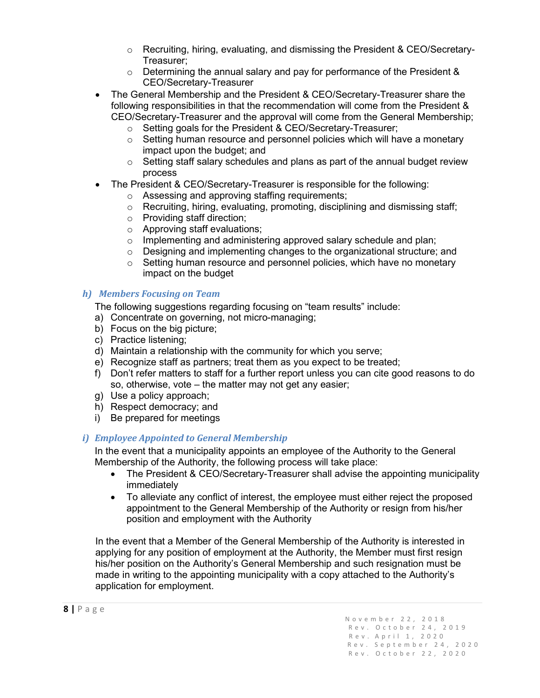- o Recruiting, hiring, evaluating, and dismissing the President & CEO/Secretary-Treasurer;
- $\circ$  Determining the annual salary and pay for performance of the President & CEO/Secretary-Treasurer
- The General Membership and the President & CEO/Secretary-Treasurer share the following responsibilities in that the recommendation will come from the President & CEO/Secretary-Treasurer and the approval will come from the General Membership;
	- $\circ$  Setting goals for the President & CEO/Secretary-Treasurer;<br> $\circ$  Setting human resource and personnel policies which will ha
	- Setting human resource and personnel policies which will have a monetary impact upon the budget; and
	- $\circ$  Setting staff salary schedules and plans as part of the annual budget review process
- The President & CEO/Secretary-Treasurer is responsible for the following:
	- o Assessing and approving staffing requirements;
	- o Recruiting, hiring, evaluating, promoting, disciplining and dismissing staff;
	- o Providing staff direction;
	- o Approving staff evaluations;
	- o Implementing and administering approved salary schedule and plan;
	- ⊙ Designing and implementing changes to the organizational structure; and<br>○ Setting human resource and personnel policies, which have no monetary
	- Setting human resource and personnel policies, which have no monetary impact on the budget

#### *h) Members Focusing on Team*

The following suggestions regarding focusing on "team results" include:

- a) Concentrate on governing, not micro-managing;
- b) Focus on the big picture;
- c) Practice listening;
- d) Maintain a relationship with the community for which you serve;
- e) Recognize staff as partners; treat them as you expect to be treated;
- f) Don't refer matters to staff for a further report unless you can cite good reasons to do so, otherwise, vote – the matter may not get any easier;
- g) Use a policy approach;
- h) Respect democracy; and
- i) Be prepared for meetings

#### *i) Employee Appointed to General Membership*

In the event that a municipality appoints an employee of the Authority to the General Membership of the Authority, the following process will take place:

- The President & CEO/Secretary-Treasurer shall advise the appointing municipality immediately
- To alleviate any conflict of interest, the employee must either reject the proposed appointment to the General Membership of the Authority or resign from his/her position and employment with the Authority

In the event that a Member of the General Membership of the Authority is interested in applying for any position of employment at the Authority, the Member must first resign his/her position on the Authority's General Membership and such resignation must be made in writing to the appointing municipality with a copy attached to the Authority's application for employment.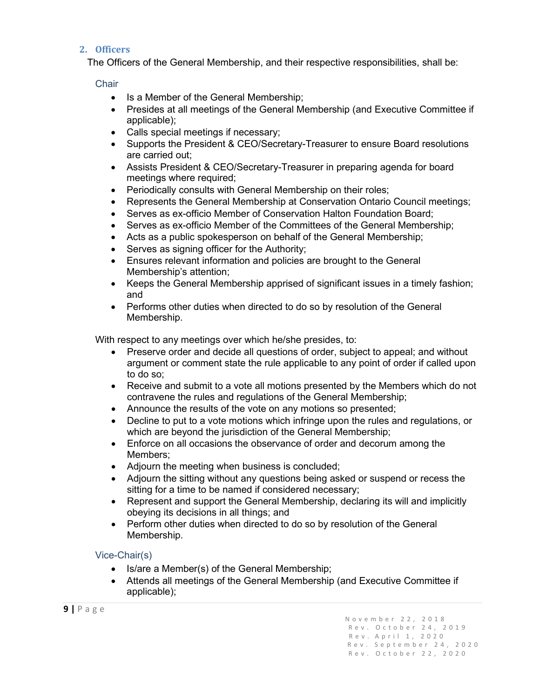#### <span id="page-9-0"></span>**2. Officers**

The Officers of the General Membership, and their respective responsibilities, shall be:

#### **Chair**

- Is a Member of the General Membership;
- Presides at all meetings of the General Membership (and Executive Committee if applicable);
- Calls special meetings if necessary;
- Supports the President & CEO/Secretary-Treasurer to ensure Board resolutions are carried out;
- Assists President & CEO/Secretary-Treasurer in preparing agenda for board meetings where required;
- Periodically consults with General Membership on their roles;
- Represents the General Membership at Conservation Ontario Council meetings;
- Serves as ex-officio Member of Conservation Halton Foundation Board;
- Serves as ex-officio Member of the Committees of the General Membership;
- Acts as a public spokesperson on behalf of the General Membership;
- Serves as signing officer for the Authority;
- Ensures relevant information and policies are brought to the General Membership's attention;
- Keeps the General Membership apprised of significant issues in a timely fashion; and
- Performs other duties when directed to do so by resolution of the General Membership.

With respect to any meetings over which he/she presides, to:

- Preserve order and decide all questions of order, subject to appeal; and without argument or comment state the rule applicable to any point of order if called upon to do so;
- Receive and submit to a vote all motions presented by the Members which do not contravene the rules and regulations of the General Membership;
- Announce the results of the vote on any motions so presented;
- Decline to put to a vote motions which infringe upon the rules and regulations, or which are beyond the jurisdiction of the General Membership;
- Enforce on all occasions the observance of order and decorum among the Members;
- Adjourn the meeting when business is concluded;
- Adjourn the sitting without any questions being asked or suspend or recess the sitting for a time to be named if considered necessary;
- Represent and support the General Membership, declaring its will and implicitly obeying its decisions in all things; and
- Perform other duties when directed to do so by resolution of the General Membership.

#### Vice-Chair(s)

- Is/are a Member(s) of the General Membership;
- Attends all meetings of the General Membership (and Executive Committee if applicable);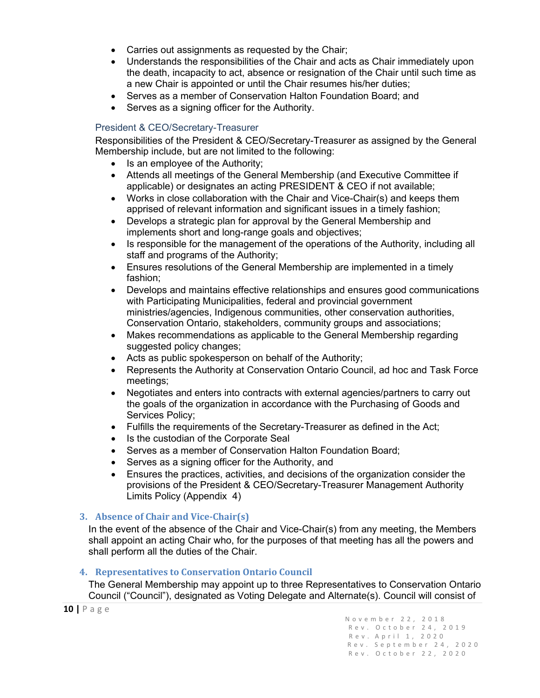- Carries out assignments as requested by the Chair;
- Understands the responsibilities of the Chair and acts as Chair immediately upon the death, incapacity to act, absence or resignation of the Chair until such time as a new Chair is appointed or until the Chair resumes his/her duties;
- Serves as a member of Conservation Halton Foundation Board; and
- Serves as a signing officer for the Authority.

#### President & CEO/Secretary-Treasurer

Responsibilities of the President & CEO/Secretary-Treasurer as assigned by the General Membership include, but are not limited to the following:

- Is an employee of the Authority;
- Attends all meetings of the General Membership (and Executive Committee if applicable) or designates an acting PRESIDENT & CEO if not available;
- Works in close collaboration with the Chair and Vice-Chair(s) and keeps them apprised of relevant information and significant issues in a timely fashion;
- Develops a strategic plan for approval by the General Membership and implements short and long-range goals and objectives;
- Is responsible for the management of the operations of the Authority, including all staff and programs of the Authority;
- Ensures resolutions of the General Membership are implemented in a timely fashion;
- Develops and maintains effective relationships and ensures good communications with Participating Municipalities, federal and provincial government ministries/agencies, Indigenous communities, other conservation authorities, Conservation Ontario, stakeholders, community groups and associations;
- Makes recommendations as applicable to the General Membership regarding suggested policy changes;
- Acts as public spokesperson on behalf of the Authority;
- Represents the Authority at Conservation Ontario Council, ad hoc and Task Force meetings;
- Negotiates and enters into contracts with external agencies/partners to carry out the goals of the organization in accordance with the Purchasing of Goods and Services Policy;
- Fulfills the requirements of the Secretary-Treasurer as defined in the Act;
- Is the custodian of the Corporate Seal
- Serves as a member of Conservation Halton Foundation Board;
- Serves as a signing officer for the Authority, and
- Ensures the practices, activities, and decisions of the organization consider the provisions of the President & CEO/Secretary-Treasurer Management Authority Limits Policy (Appendix 4)

#### <span id="page-10-0"></span>**3. Absence of Chair and Vice-Chair(s)**

In the event of the absence of the Chair and Vice-Chair(s) from any meeting, the Members shall appoint an acting Chair who, for the purposes of that meeting has all the powers and shall perform all the duties of the Chair.

#### <span id="page-10-1"></span>**4. Representatives to Conservation Ontario Council**

The General Membership may appoint up to three Representatives to Conservation Ontario Council ("Council"), designated as Voting Delegate and Alternate(s). Council will consist of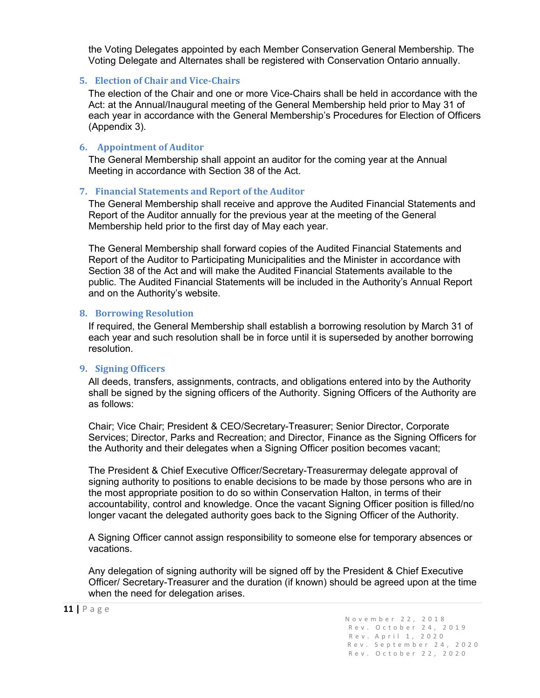the Voting Delegates appointed by each Member Conservation General Membership. The Voting Delegate and Alternates shall be registered with Conservation Ontario annually.

#### <span id="page-11-0"></span>**5. Election of Chair and Vice-Chairs**

The election of the Chair and one or more Vice-Chairs shall be held in accordance with the Act: at the Annual/Inaugural meeting of the General Membership held prior to May 31 of each year in accordance with the General Membership's Procedures for Election of Officers (Appendix 3).

#### <span id="page-11-1"></span>**6. Appointment of Auditor**

The General Membership shall appoint an auditor for the coming year at the Annual Meeting in accordance with Section 38 of the Act.

#### <span id="page-11-2"></span>**7. Financial Statements and Report of the Auditor**

The General Membership shall receive and approve the Audited Financial Statements and Report of the Auditor annually for the previous year at the meeting of the General Membership held prior to the first day of May each year.

The General Membership shall forward copies of the Audited Financial Statements and Report of the Auditor to Participating Municipalities and the Minister in accordance with Section 38 of the Act and will make the Audited Financial Statements available to the public. The Audited Financial Statements will be included in the Authority's Annual Report and on the Authority's website.

#### <span id="page-11-3"></span>**8. Borrowing Resolution**

If required, the General Membership shall establish a borrowing resolution by March 31 of each year and such resolution shall be in force until it is superseded by another borrowing resolution.

#### <span id="page-11-4"></span>**9. Signing Officers**

All deeds, transfers, assignments, contracts, and obligations entered into by the Authority shall be signed by the signing officers of the Authority. Signing Officers of the Authority are as follows:

Chair; Vice Chair; President & CEO/Secretary-Treasurer; Senior Director, Corporate Services; Director, Parks and Recreation; and Director, Finance as the Signing Officers for the Authority and their delegates when a Signing Officer position becomes vacant;

The President & Chief Executive Officer/Secretary-Treasurermay delegate approval of signing authority to positions to enable decisions to be made by those persons who are in the most appropriate position to do so within Conservation Halton, in terms of their accountability, control and knowledge. Once the vacant Signing Officer position is filled/no longer vacant the delegated authority goes back to the Signing Officer of the Authority.

A Signing Officer cannot assign responsibility to someone else for temporary absences or vacations.

Any delegation of signing authority will be signed off by the President & Chief Executive Officer/ Secretary-Treasurer and the duration (if known) should be agreed upon at the time when the need for delegation arises.

**<sup>11</sup> <sup>|</sup>**Page November 22, 2018 Rev . October 24, 2019 Rev.A p ril 1, 2020 Rev. September 24, 2020 Rev. October 22, 2020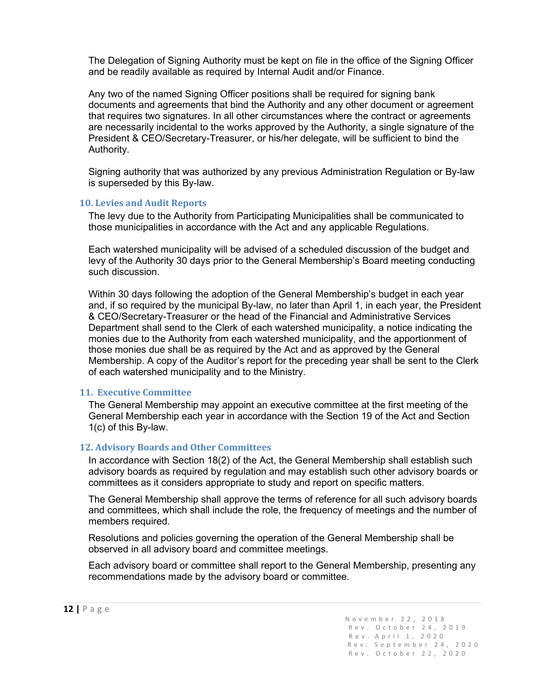The Delegation of Signing Authority must be kept on file in the office of the Signing Officer and be readily available as required by Internal Audit and/or Finance.

Any two of the named Signing Officer positions shall be required for signing bank documents and agreements that bind the Authority and any other document or agreement that requires two signatures. In all other circumstances where the contract or agreements are necessarily incidental to the works approved by the Authority, a single signature of the President & CEO/Secretary-Treasurer, or his/her delegate, will be sufficient to bind the Authority.

Signing authority that was authorized by any previous Administration Regulation or By-law is superseded by this By-law.

#### <span id="page-12-0"></span>**10. Levies and Audit Reports**

The levy due to the Authority from Participating Municipalities shall be communicated to those municipalities in accordance with the Act and any applicable Regulations.

Each watershed municipality will be advised of a scheduled discussion of the budget and levy of the Authority 30 days prior to the General Membership's Board meeting conducting such discussion.

Within 30 days following the adoption of the General Membership's budget in each year and, if so required by the municipal By-law, no later than April 1, in each year, the President & CEO/Secretary-Treasurer or the head of the Financial and Administrative Services Department shall send to the Clerk of each watershed municipality, a notice indicating the monies due to the Authority from each watershed municipality, and the apportionment of those monies due shall be as required by the Act and as approved by the General Membership. A copy of the Auditor's report for the preceding year shall be sent to the Clerk of each watershed municipality and to the Ministry.

#### <span id="page-12-1"></span>**11. Executive Committee**

The General Membership may appoint an executive committee at the first meeting of the General Membership each year in accordance with the Section 19 of the Act and Section 1(c) of this By-law.

#### <span id="page-12-2"></span>**12. Advisory Boards and Other Committees**

In accordance with Section 18(2) of the Act, the General Membership shall establish such advisory boards as required by regulation and may establish such other advisory boards or committees as it considers appropriate to study and report on specific matters.

The General Membership shall approve the terms of reference for all such advisory boards and committees, which shall include the role, the frequency of meetings and the number of members required.

Resolutions and policies governing the operation of the General Membership shall be observed in all advisory board and committee meetings.

Each advisory board or committee shall report to the General Membership, presenting any recommendations made by the advisory board or committee.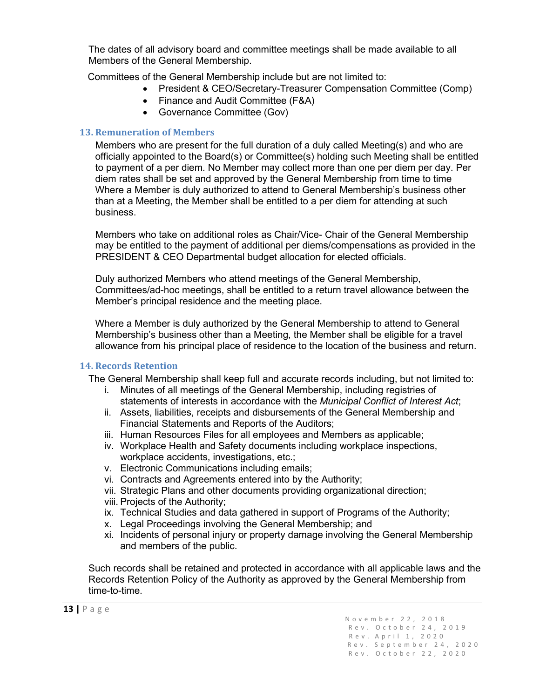The dates of all advisory board and committee meetings shall be made available to all Members of the General Membership.

Committees of the General Membership include but are not limited to:

- President & CEO/Secretary-Treasurer Compensation Committee (Comp)
- Finance and Audit Committee (F&A)
- Governance Committee (Gov)

#### <span id="page-13-0"></span>**13. Remuneration of Members**

Members who are present for the full duration of a duly called Meeting(s) and who are officially appointed to the Board(s) or Committee(s) holding such Meeting shall be entitled to payment of a per diem. No Member may collect more than one per diem per day. Per diem rates shall be set and approved by the General Membership from time to time Where a Member is duly authorized to attend to General Membership's business other than at a Meeting, the Member shall be entitled to a per diem for attending at such business.

Members who take on additional roles as Chair/Vice- Chair of the General Membership may be entitled to the payment of additional per diems/compensations as provided in the PRESIDENT & CEO Departmental budget allocation for elected officials.

Duly authorized Members who attend meetings of the General Membership, Committees/ad-hoc meetings, shall be entitled to a return travel allowance between the Member's principal residence and the meeting place.

Where a Member is duly authorized by the General Membership to attend to General Membership's business other than a Meeting, the Member shall be eligible for a travel allowance from his principal place of residence to the location of the business and return.

#### <span id="page-13-1"></span>**14. Records Retention**

The General Membership shall keep full and accurate records including, but not limited to:

- i. Minutes of all meetings of the General Membership, including registries of statements of interests in accordance with the *Municipal Conflict of Interest Act*;
- ii. Assets, liabilities, receipts and disbursements of the General Membership and Financial Statements and Reports of the Auditors;
- iii. Human Resources Files for all employees and Members as applicable;
- iv. Workplace Health and Safety documents including workplace inspections, workplace accidents, investigations, etc.;
- v. Electronic Communications including emails;
- vi. Contracts and Agreements entered into by the Authority;
- vii. Strategic Plans and other documents providing organizational direction;
- viii. Projects of the Authority;
- ix. Technical Studies and data gathered in support of Programs of the Authority;
- x. Legal Proceedings involving the General Membership; and
- xi. Incidents of personal injury or property damage involving the General Membership and members of the public.

Such records shall be retained and protected in accordance with all applicable laws and the Records Retention Policy of the Authority as approved by the General Membership from time-to-time.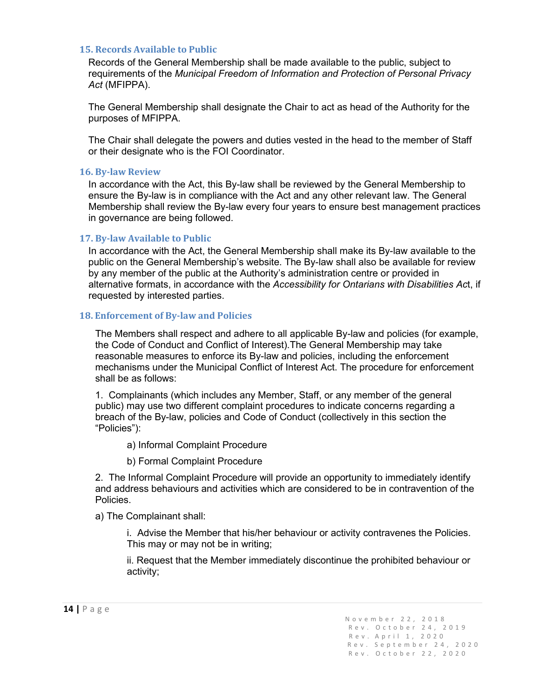#### <span id="page-14-0"></span>**15. Records Available to Public**

Records of the General Membership shall be made available to the public, subject to requirements of the *Municipal Freedom of Information and Protection of Personal Privacy Act* (MFIPPA).

The General Membership shall designate the Chair to act as head of the Authority for the purposes of MFIPPA.

The Chair shall delegate the powers and duties vested in the head to the member of Staff or their designate who is the FOI Coordinator.

#### <span id="page-14-1"></span>**16. By-law Review**

In accordance with the Act, this By-law shall be reviewed by the General Membership to ensure the By-law is in compliance with the Act and any other relevant law. The General Membership shall review the By-law every four years to ensure best management practices in governance are being followed.

#### <span id="page-14-2"></span>**17. By-law Available to Public**

In accordance with the Act, the General Membership shall make its By-law available to the public on the General Membership's website. The By-law shall also be available for review by any member of the public at the Authority's administration centre or provided in alternative formats, in accordance with the *Accessibility for Ontarians with Disabilities Ac*t, if requested by interested parties.

#### <span id="page-14-3"></span>**18. Enforcement of By-law and Policies**

The Members shall respect and adhere to all applicable By-law and policies (for example, the Code of Conduct and Conflict of Interest).The General Membership may take reasonable measures to enforce its By-law and policies, including the enforcement mechanisms under the Municipal Conflict of Interest Act. The procedure for enforcement shall be as follows:

1. Complainants (which includes any Member, Staff, or any member of the general public) may use two different complaint procedures to indicate concerns regarding a breach of the By-law, policies and Code of Conduct (collectively in this section the "Policies"):

a) Informal Complaint Procedure

b) Formal Complaint Procedure

2. The Informal Complaint Procedure will provide an opportunity to immediately identify and address behaviours and activities which are considered to be in contravention of the Policies.

a) The Complainant shall:

i. Advise the Member that his/her behaviour or activity contravenes the Policies. This may or may not be in writing;

ii. Request that the Member immediately discontinue the prohibited behaviour or activity;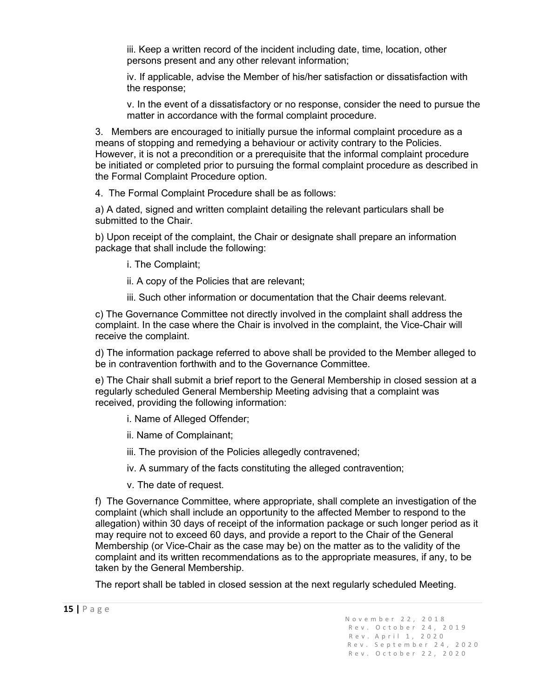iii. Keep a written record of the incident including date, time, location, other persons present and any other relevant information;

iv. If applicable, advise the Member of his/her satisfaction or dissatisfaction with the response;

v. In the event of a dissatisfactory or no response, consider the need to pursue the matter in accordance with the formal complaint procedure.

3. Members are encouraged to initially pursue the informal complaint procedure as a means of stopping and remedying a behaviour or activity contrary to the Policies. However, it is not a precondition or a prerequisite that the informal complaint procedure be initiated or completed prior to pursuing the formal complaint procedure as described in the Formal Complaint Procedure option.

4. The Formal Complaint Procedure shall be as follows:

a) A dated, signed and written complaint detailing the relevant particulars shall be submitted to the Chair.

b) Upon receipt of the complaint, the Chair or designate shall prepare an information package that shall include the following:

i. The Complaint;

ii. A copy of the Policies that are relevant;

iii. Such other information or documentation that the Chair deems relevant.

c) The Governance Committee not directly involved in the complaint shall address the complaint. In the case where the Chair is involved in the complaint, the Vice-Chair will receive the complaint.

d) The information package referred to above shall be provided to the Member alleged to be in contravention forthwith and to the Governance Committee.

e) The Chair shall submit a brief report to the General Membership in closed session at a regularly scheduled General Membership Meeting advising that a complaint was received, providing the following information:

i. Name of Alleged Offender;

ii. Name of Complainant;

iii. The provision of the Policies allegedly contravened;

iv. A summary of the facts constituting the alleged contravention;

v. The date of request.

f) The Governance Committee, where appropriate, shall complete an investigation of the complaint (which shall include an opportunity to the affected Member to respond to the allegation) within 30 days of receipt of the information package or such longer period as it may require not to exceed 60 days, and provide a report to the Chair of the General Membership (or Vice-Chair as the case may be) on the matter as to the validity of the complaint and its written recommendations as to the appropriate measures, if any, to be taken by the General Membership.

The report shall be tabled in closed session at the next regularly scheduled Meeting.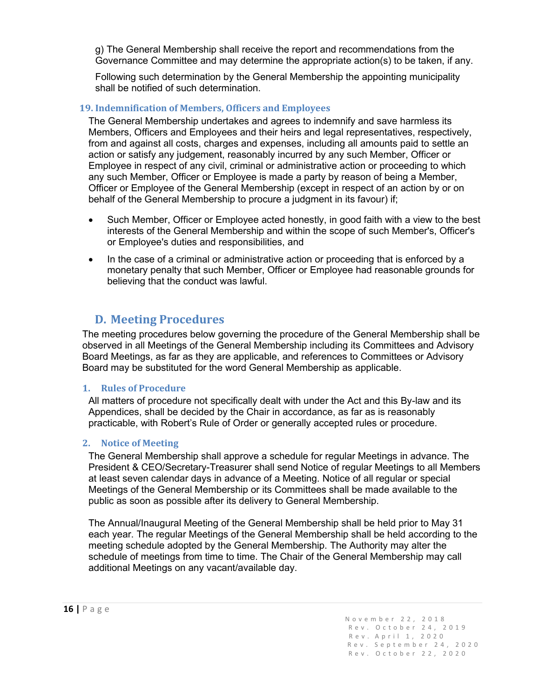g) The General Membership shall receive the report and recommendations from the Governance Committee and may determine the appropriate action(s) to be taken, if any.

Following such determination by the General Membership the appointing municipality shall be notified of such determination.

#### <span id="page-16-0"></span>**19. Indemnification of Members, Officers and Employees**

The General Membership undertakes and agrees to indemnify and save harmless its Members, Officers and Employees and their heirs and legal representatives, respectively, from and against all costs, charges and expenses, including all amounts paid to settle an action or satisfy any judgement, reasonably incurred by any such Member, Officer or Employee in respect of any civil, criminal or administrative action or proceeding to which any such Member, Officer or Employee is made a party by reason of being a Member, Officer or Employee of the General Membership (except in respect of an action by or on behalf of the General Membership to procure a judgment in its favour) if;

- Such Member, Officer or Employee acted honestly, in good faith with a view to the best interests of the General Membership and within the scope of such Member's, Officer's or Employee's duties and responsibilities, and
- In the case of a criminal or administrative action or proceeding that is enforced by a monetary penalty that such Member, Officer or Employee had reasonable grounds for believing that the conduct was lawful.

## **D. Meeting Procedures**

<span id="page-16-1"></span>The meeting procedures below governing the procedure of the General Membership shall be observed in all Meetings of the General Membership including its Committees and Advisory Board Meetings, as far as they are applicable, and references to Committees or Advisory Board may be substituted for the word General Membership as applicable.

#### <span id="page-16-2"></span>**1. Rules of Procedure**

All matters of procedure not specifically dealt with under the Act and this By-law and its Appendices, shall be decided by the Chair in accordance, as far as is reasonably practicable, with Robert's Rule of Order or generally accepted rules or procedure.

#### <span id="page-16-3"></span>**2. Notice of Meeting**

The General Membership shall approve a schedule for regular Meetings in advance. The President & CEO/Secretary-Treasurer shall send Notice of regular Meetings to all Members at least seven calendar days in advance of a Meeting. Notice of all regular or special Meetings of the General Membership or its Committees shall be made available to the public as soon as possible after its delivery to General Membership.

The Annual/Inaugural Meeting of the General Membership shall be held prior to May 31 each year. The regular Meetings of the General Membership shall be held according to the meeting schedule adopted by the General Membership. The Authority may alter the schedule of meetings from time to time. The Chair of the General Membership may call additional Meetings on any vacant/available day.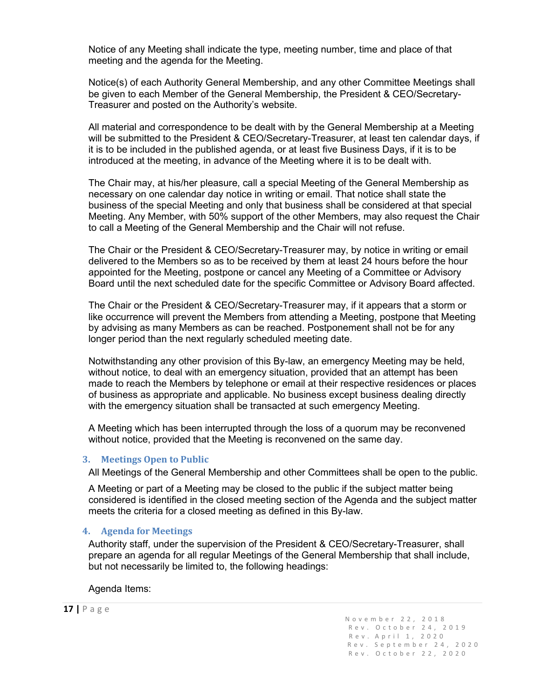Notice of any Meeting shall indicate the type, meeting number, time and place of that meeting and the agenda for the Meeting.

Notice(s) of each Authority General Membership, and any other Committee Meetings shall be given to each Member of the General Membership, the President & CEO/Secretary-Treasurer and posted on the Authority's website.

All material and correspondence to be dealt with by the General Membership at a Meeting will be submitted to the President & CEO/Secretary-Treasurer, at least ten calendar days, if it is to be included in the published agenda, or at least five Business Days, if it is to be introduced at the meeting, in advance of the Meeting where it is to be dealt with.

The Chair may, at his/her pleasure, call a special Meeting of the General Membership as necessary on one calendar day notice in writing or email. That notice shall state the business of the special Meeting and only that business shall be considered at that special Meeting. Any Member, with 50% support of the other Members, may also request the Chair to call a Meeting of the General Membership and the Chair will not refuse.

The Chair or the President & CEO/Secretary-Treasurer may, by notice in writing or email delivered to the Members so as to be received by them at least 24 hours before the hour appointed for the Meeting, postpone or cancel any Meeting of a Committee or Advisory Board until the next scheduled date for the specific Committee or Advisory Board affected.

The Chair or the President & CEO/Secretary-Treasurer may, if it appears that a storm or like occurrence will prevent the Members from attending a Meeting, postpone that Meeting by advising as many Members as can be reached. Postponement shall not be for any longer period than the next regularly scheduled meeting date.

Notwithstanding any other provision of this By-law, an emergency Meeting may be held, without notice, to deal with an emergency situation, provided that an attempt has been made to reach the Members by telephone or email at their respective residences or places of business as appropriate and applicable. No business except business dealing directly with the emergency situation shall be transacted at such emergency Meeting.

A Meeting which has been interrupted through the loss of a quorum may be reconvened without notice, provided that the Meeting is reconvened on the same day.

#### <span id="page-17-0"></span>**3. Meetings Open to Public**

All Meetings of the General Membership and other Committees shall be open to the public.

A Meeting or part of a Meeting may be closed to the public if the subject matter being considered is identified in the closed meeting section of the Agenda and the subject matter meets the criteria for a closed meeting as defined in this By-law.

#### <span id="page-17-1"></span>**4. Agenda for Meetings**

Authority staff, under the supervision of the President & CEO/Secretary-Treasurer, shall prepare an agenda for all regular Meetings of the General Membership that shall include, but not necessarily be limited to, the following headings:

Agenda Items:

**<sup>17</sup> <sup>|</sup>**Page November 22, 2018 Rev . October 24, 2019 Rev.A p ril 1, 2020 Rev. September 24, 2020 Rev. October 22, 2020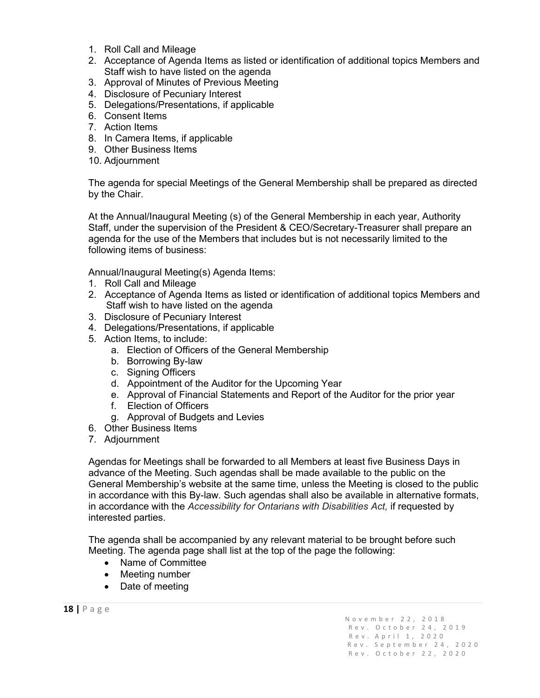- 1. Roll Call and Mileage
- 2. Acceptance of Agenda Items as listed or identification of additional topics Members and Staff wish to have listed on the agenda
- 3. Approval of Minutes of Previous Meeting
- 4. Disclosure of Pecuniary Interest
- 5. Delegations/Presentations, if applicable
- 6. Consent Items
- 7. Action Items
- 8. In Camera Items, if applicable
- 9. Other Business Items
- 10. Adjournment

The agenda for special Meetings of the General Membership shall be prepared as directed by the Chair.

At the Annual/Inaugural Meeting (s) of the General Membership in each year, Authority Staff, under the supervision of the President & CEO/Secretary-Treasurer shall prepare an agenda for the use of the Members that includes but is not necessarily limited to the following items of business:

Annual/Inaugural Meeting(s) Agenda Items:

- 1. Roll Call and Mileage
- 2. Acceptance of Agenda Items as listed or identification of additional topics Members and Staff wish to have listed on the agenda
- 3. Disclosure of Pecuniary Interest
- 4. Delegations/Presentations, if applicable
- 5. Action Items, to include:
	- a. Election of Officers of the General Membership
	- b. Borrowing By-law
	- c. Signing Officers
	- d. Appointment of the Auditor for the Upcoming Year
	- e. Approval of Financial Statements and Report of the Auditor for the prior year
	- f. Election of Officers
	- g. Approval of Budgets and Levies
- 6. Other Business Items
- 7. Adjournment

Agendas for Meetings shall be forwarded to all Members at least five Business Days in advance of the Meeting. Such agendas shall be made available to the public on the General Membership's website at the same time, unless the Meeting is closed to the public in accordance with this By-law. Such agendas shall also be available in alternative formats, in accordance with the *Accessibility for Ontarians with Disabilities Act,* if requested by interested parties.

The agenda shall be accompanied by any relevant material to be brought before such Meeting. The agenda page shall list at the top of the page the following:

- Name of Committee
- Meeting number
- Date of meeting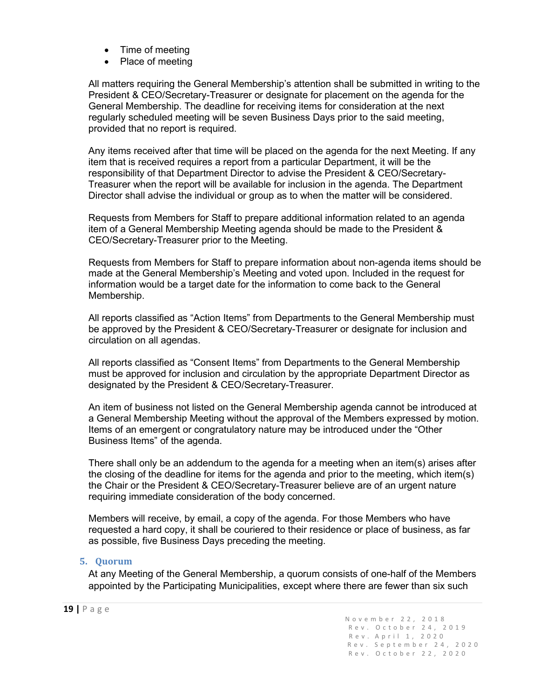- Time of meeting
- Place of meeting

All matters requiring the General Membership's attention shall be submitted in writing to the President & CEO/Secretary-Treasurer or designate for placement on the agenda for the General Membership. The deadline for receiving items for consideration at the next regularly scheduled meeting will be seven Business Days prior to the said meeting, provided that no report is required.

Any items received after that time will be placed on the agenda for the next Meeting. If any item that is received requires a report from a particular Department, it will be the responsibility of that Department Director to advise the President & CEO/Secretary-Treasurer when the report will be available for inclusion in the agenda. The Department Director shall advise the individual or group as to when the matter will be considered.

Requests from Members for Staff to prepare additional information related to an agenda item of a General Membership Meeting agenda should be made to the President & CEO/Secretary-Treasurer prior to the Meeting.

Requests from Members for Staff to prepare information about non-agenda items should be made at the General Membership's Meeting and voted upon. Included in the request for information would be a target date for the information to come back to the General Membership.

All reports classified as "Action Items" from Departments to the General Membership must be approved by the President & CEO/Secretary-Treasurer or designate for inclusion and circulation on all agendas.

All reports classified as "Consent Items" from Departments to the General Membership must be approved for inclusion and circulation by the appropriate Department Director as designated by the President & CEO/Secretary-Treasurer.

An item of business not listed on the General Membership agenda cannot be introduced at a General Membership Meeting without the approval of the Members expressed by motion. Items of an emergent or congratulatory nature may be introduced under the "Other Business Items" of the agenda.

There shall only be an addendum to the agenda for a meeting when an item(s) arises after the closing of the deadline for items for the agenda and prior to the meeting, which item(s) the Chair or the President & CEO/Secretary-Treasurer believe are of an urgent nature requiring immediate consideration of the body concerned.

Members will receive, by email, a copy of the agenda. For those Members who have requested a hard copy, it shall be couriered to their residence or place of business, as far as possible, five Business Days preceding the meeting.

#### <span id="page-19-0"></span>**5. Quorum**

At any Meeting of the General Membership, a quorum consists of one-half of the Members appointed by the Participating Municipalities, except where there are fewer than six such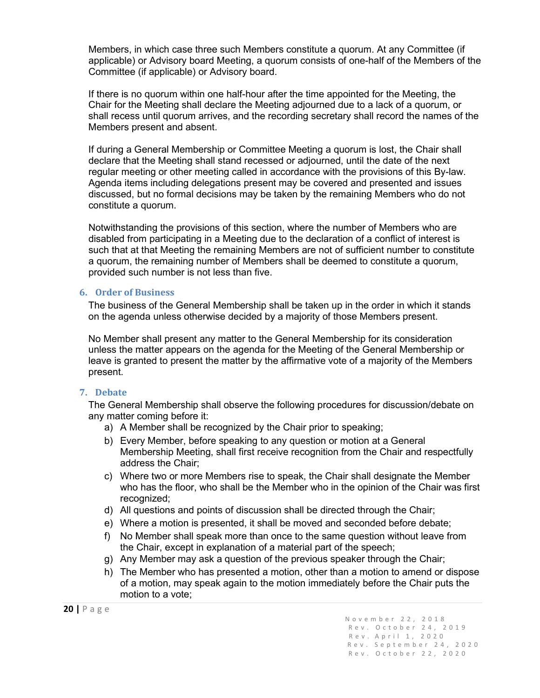Members, in which case three such Members constitute a quorum. At any Committee (if applicable) or Advisory board Meeting, a quorum consists of one-half of the Members of the Committee (if applicable) or Advisory board.

If there is no quorum within one half-hour after the time appointed for the Meeting, the Chair for the Meeting shall declare the Meeting adjourned due to a lack of a quorum, or shall recess until quorum arrives, and the recording secretary shall record the names of the Members present and absent.

If during a General Membership or Committee Meeting a quorum is lost, the Chair shall declare that the Meeting shall stand recessed or adjourned, until the date of the next regular meeting or other meeting called in accordance with the provisions of this By-law. Agenda items including delegations present may be covered and presented and issues discussed, but no formal decisions may be taken by the remaining Members who do not constitute a quorum.

Notwithstanding the provisions of this section, where the number of Members who are disabled from participating in a Meeting due to the declaration of a conflict of interest is such that at that Meeting the remaining Members are not of sufficient number to constitute a quorum, the remaining number of Members shall be deemed to constitute a quorum, provided such number is not less than five.

#### <span id="page-20-0"></span>**6. Order of Business**

The business of the General Membership shall be taken up in the order in which it stands on the agenda unless otherwise decided by a majority of those Members present.

No Member shall present any matter to the General Membership for its consideration unless the matter appears on the agenda for the Meeting of the General Membership or leave is granted to present the matter by the affirmative vote of a majority of the Members present.

#### <span id="page-20-1"></span>**7. Debate**

The General Membership shall observe the following procedures for discussion/debate on any matter coming before it:

- a) A Member shall be recognized by the Chair prior to speaking;
- b) Every Member, before speaking to any question or motion at a General Membership Meeting, shall first receive recognition from the Chair and respectfully address the Chair;
- c) Where two or more Members rise to speak, the Chair shall designate the Member who has the floor, who shall be the Member who in the opinion of the Chair was first recognized;
- d) All questions and points of discussion shall be directed through the Chair;
- e) Where a motion is presented, it shall be moved and seconded before debate;
- f) No Member shall speak more than once to the same question without leave from the Chair, except in explanation of a material part of the speech;
- g) Any Member may ask a question of the previous speaker through the Chair;
- h) The Member who has presented a motion, other than a motion to amend or dispose of a motion, may speak again to the motion immediately before the Chair puts the motion to a vote;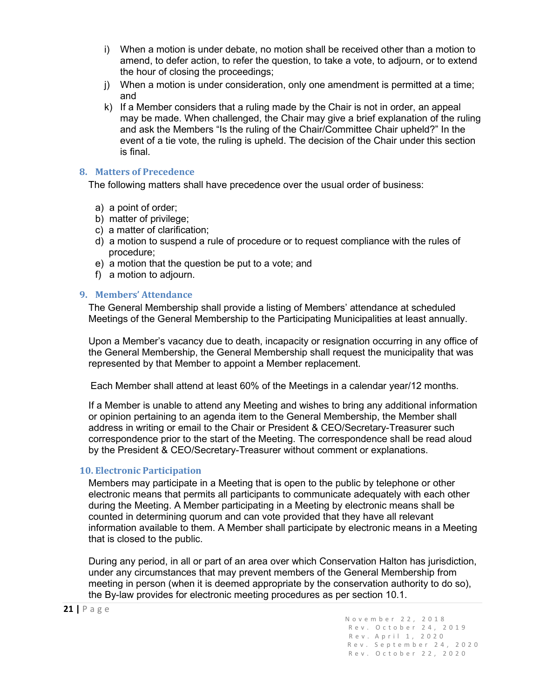- i) When a motion is under debate, no motion shall be received other than a motion to amend, to defer action, to refer the question, to take a vote, to adjourn, or to extend the hour of closing the proceedings;
- j) When a motion is under consideration, only one amendment is permitted at a time; and
- k) If a Member considers that a ruling made by the Chair is not in order, an appeal may be made. When challenged, the Chair may give a brief explanation of the ruling and ask the Members "Is the ruling of the Chair/Committee Chair upheld?" In the event of a tie vote, the ruling is upheld. The decision of the Chair under this section is final.

#### <span id="page-21-0"></span>**8. Matters of Precedence**

The following matters shall have precedence over the usual order of business:

- a) a point of order;
- b) matter of privilege;
- c) a matter of clarification;
- d) a motion to suspend a rule of procedure or to request compliance with the rules of procedure;
- e) a motion that the question be put to a vote; and
- f) a motion to adjourn.

#### <span id="page-21-1"></span>**9. Members' Attendance**

The General Membership shall provide a listing of Members' attendance at scheduled Meetings of the General Membership to the Participating Municipalities at least annually.

Upon a Member's vacancy due to death, incapacity or resignation occurring in any office of the General Membership, the General Membership shall request the municipality that was represented by that Member to appoint a Member replacement.

Each Member shall attend at least 60% of the Meetings in a calendar year/12 months.

If a Member is unable to attend any Meeting and wishes to bring any additional information or opinion pertaining to an agenda item to the General Membership, the Member shall address in writing or email to the Chair or President & CEO/Secretary-Treasurer such correspondence prior to the start of the Meeting. The correspondence shall be read aloud by the President & CEO/Secretary-Treasurer without comment or explanations.

#### <span id="page-21-2"></span>**10. Electronic Participation**

Members may participate in a Meeting that is open to the public by telephone or other electronic means that permits all participants to communicate adequately with each other during the Meeting. A Member participating in a Meeting by electronic means shall be counted in determining quorum and can vote provided that they have all relevant information available to them. A Member shall participate by electronic means in a Meeting that is closed to the public.

During any period, in all or part of an area over which Conservation Halton has jurisdiction, under any circumstances that may prevent members of the General Membership from meeting in person (when it is deemed appropriate by the conservation authority to do so), the By-law provides for electronic meeting procedures as per section 10.1.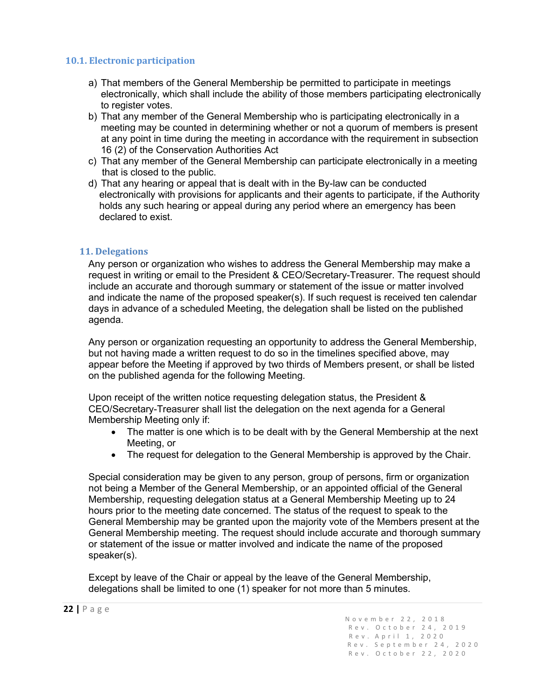#### **10.1. Electronic participation**

- a) That members of the General Membership be permitted to participate in meetings electronically, which shall include the ability of those members participating electronically to register votes.
- b) That any member of the General Membership who is participating electronically in a meeting may be counted in determining whether or not a quorum of members is present at any point in time during the meeting in accordance with the requirement in subsection 16 (2) of the Conservation Authorities Act
- c) That any member of the General Membership can participate electronically in a meeting that is closed to the public.
- d) That any hearing or appeal that is dealt with in the By-law can be conducted electronically with provisions for applicants and their agents to participate, if the Authority holds any such hearing or appeal during any period where an emergency has been declared to exist.

#### <span id="page-22-0"></span>**11. Delegations**

Any person or organization who wishes to address the General Membership may make a request in writing or email to the President & CEO/Secretary-Treasurer. The request should include an accurate and thorough summary or statement of the issue or matter involved and indicate the name of the proposed speaker(s). If such request is received ten calendar days in advance of a scheduled Meeting, the delegation shall be listed on the published agenda.

Any person or organization requesting an opportunity to address the General Membership, but not having made a written request to do so in the timelines specified above, may appear before the Meeting if approved by two thirds of Members present, or shall be listed on the published agenda for the following Meeting.

Upon receipt of the written notice requesting delegation status, the President & CEO/Secretary-Treasurer shall list the delegation on the next agenda for a General Membership Meeting only if:

- The matter is one which is to be dealt with by the General Membership at the next Meeting, or
- The request for delegation to the General Membership is approved by the Chair.

Special consideration may be given to any person, group of persons, firm or organization not being a Member of the General Membership, or an appointed official of the General Membership, requesting delegation status at a General Membership Meeting up to 24 hours prior to the meeting date concerned. The status of the request to speak to the General Membership may be granted upon the majority vote of the Members present at the General Membership meeting. The request should include accurate and thorough summary or statement of the issue or matter involved and indicate the name of the proposed speaker(s).

Except by leave of the Chair or appeal by the leave of the General Membership, delegations shall be limited to one (1) speaker for not more than 5 minutes.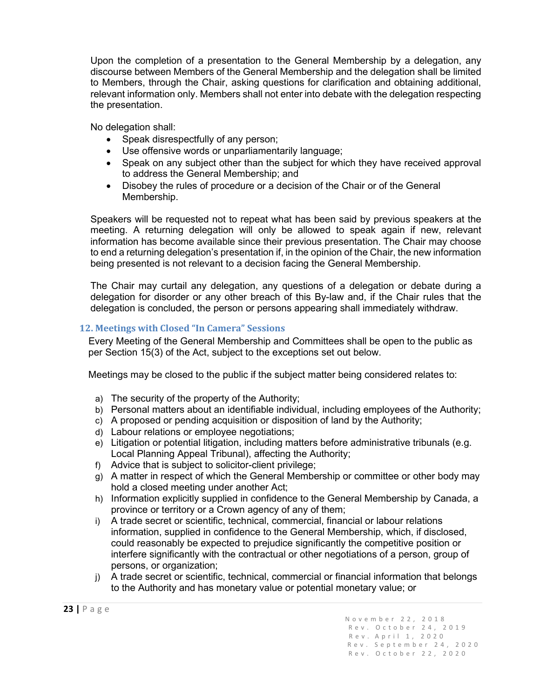Upon the completion of a presentation to the General Membership by a delegation, any discourse between Members of the General Membership and the delegation shall be limited to Members, through the Chair, asking questions for clarification and obtaining additional, relevant information only. Members shall not enter into debate with the delegation respecting the presentation.

No delegation shall:

- Speak disrespectfully of any person;
- Use offensive words or unparliamentarily language;
- Speak on any subject other than the subject for which they have received approval to address the General Membership; and
- Disobey the rules of procedure or a decision of the Chair or of the General Membership.

Speakers will be requested not to repeat what has been said by previous speakers at the meeting. A returning delegation will only be allowed to speak again if new, relevant information has become available since their previous presentation. The Chair may choose to end a returning delegation's presentation if, in the opinion of the Chair, the new information being presented is not relevant to a decision facing the General Membership.

The Chair may curtail any delegation, any questions of a delegation or debate during a delegation for disorder or any other breach of this By-law and, if the Chair rules that the delegation is concluded, the person or persons appearing shall immediately withdraw.

#### <span id="page-23-0"></span>**12. Meetings with Closed "In Camera" Sessions**

Every Meeting of the General Membership and Committees shall be open to the public as per Section 15(3) of the Act, subject to the exceptions set out below.

Meetings may be closed to the public if the subject matter being considered relates to:

- a) The security of the property of the Authority;
- b) Personal matters about an identifiable individual, including employees of the Authority;
- c) A proposed or pending acquisition or disposition of land by the Authority;
- d) Labour relations or employee negotiations;
- e) Litigation or potential litigation, including matters before administrative tribunals (e.g. Local Planning Appeal Tribunal), affecting the Authority;
- f) Advice that is subject to solicitor-client privilege;
- g) A matter in respect of which the General Membership or committee or other body may hold a closed meeting under another Act;
- h) Information explicitly supplied in confidence to the General Membership by Canada, a province or territory or a Crown agency of any of them;
- i) A trade secret or scientific, technical, commercial, financial or labour relations information, supplied in confidence to the General Membership, which, if disclosed, could reasonably be expected to prejudice significantly the competitive position or interfere significantly with the contractual or other negotiations of a person, group of persons, or organization;
- j) A trade secret or scientific, technical, commercial or financial information that belongs to the Authority and has monetary value or potential monetary value; or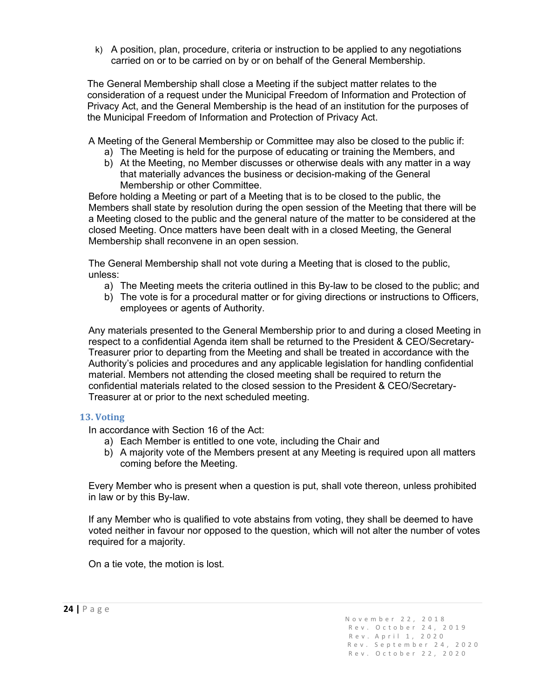k) A position, plan, procedure, criteria or instruction to be applied to any negotiations carried on or to be carried on by or on behalf of the General Membership.

The General Membership shall close a Meeting if the subject matter relates to the consideration of a request under the Municipal Freedom of Information and Protection of Privacy Act, and the General Membership is the head of an institution for the purposes of the Municipal Freedom of Information and Protection of Privacy Act.

A Meeting of the General Membership or Committee may also be closed to the public if:

- a) The Meeting is held for the purpose of educating or training the Members, and
- b) At the Meeting, no Member discusses or otherwise deals with any matter in a way that materially advances the business or decision-making of the General Membership or other Committee.

Before holding a Meeting or part of a Meeting that is to be closed to the public, the Members shall state by resolution during the open session of the Meeting that there will be a Meeting closed to the public and the general nature of the matter to be considered at the closed Meeting. Once matters have been dealt with in a closed Meeting, the General Membership shall reconvene in an open session.

The General Membership shall not vote during a Meeting that is closed to the public, unless:

- a) The Meeting meets the criteria outlined in this By-law to be closed to the public; and
- b) The vote is for a procedural matter or for giving directions or instructions to Officers, employees or agents of Authority.

Any materials presented to the General Membership prior to and during a closed Meeting in respect to a confidential Agenda item shall be returned to the President & CEO/Secretary-Treasurer prior to departing from the Meeting and shall be treated in accordance with the Authority's policies and procedures and any applicable legislation for handling confidential material. Members not attending the closed meeting shall be required to return the confidential materials related to the closed session to the President & CEO/Secretary-Treasurer at or prior to the next scheduled meeting.

#### <span id="page-24-0"></span>**13. Voting**

In accordance with Section 16 of the Act:

- a) Each Member is entitled to one vote, including the Chair and
- b) A majority vote of the Members present at any Meeting is required upon all matters coming before the Meeting.

Every Member who is present when a question is put, shall vote thereon, unless prohibited in law or by this By-law.

If any Member who is qualified to vote abstains from voting, they shall be deemed to have voted neither in favour nor opposed to the question, which will not alter the number of votes required for a majority.

On a tie vote, the motion is lost.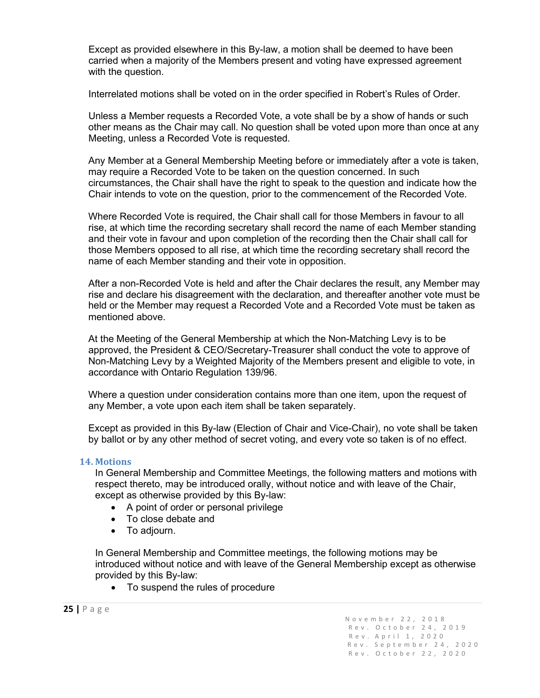Except as provided elsewhere in this By-law, a motion shall be deemed to have been carried when a majority of the Members present and voting have expressed agreement with the question.

Interrelated motions shall be voted on in the order specified in Robert's Rules of Order.

Unless a Member requests a Recorded Vote, a vote shall be by a show of hands or such other means as the Chair may call. No question shall be voted upon more than once at any Meeting, unless a Recorded Vote is requested.

Any Member at a General Membership Meeting before or immediately after a vote is taken, may require a Recorded Vote to be taken on the question concerned. In such circumstances, the Chair shall have the right to speak to the question and indicate how the Chair intends to vote on the question, prior to the commencement of the Recorded Vote.

Where Recorded Vote is required, the Chair shall call for those Members in favour to all rise, at which time the recording secretary shall record the name of each Member standing and their vote in favour and upon completion of the recording then the Chair shall call for those Members opposed to all rise, at which time the recording secretary shall record the name of each Member standing and their vote in opposition.

After a non-Recorded Vote is held and after the Chair declares the result, any Member may rise and declare his disagreement with the declaration, and thereafter another vote must be held or the Member may request a Recorded Vote and a Recorded Vote must be taken as mentioned above.

At the Meeting of the General Membership at which the Non-Matching Levy is to be approved, the President & CEO/Secretary-Treasurer shall conduct the vote to approve of Non-Matching Levy by a Weighted Majority of the Members present and eligible to vote, in accordance with Ontario Regulation 139/96.

Where a question under consideration contains more than one item, upon the request of any Member, a vote upon each item shall be taken separately.

Except as provided in this By-law (Election of Chair and Vice-Chair), no vote shall be taken by ballot or by any other method of secret voting, and every vote so taken is of no effect.

#### <span id="page-25-0"></span>**14. Motions**

In General Membership and Committee Meetings, the following matters and motions with respect thereto, may be introduced orally, without notice and with leave of the Chair, except as otherwise provided by this By-law:

- A point of order or personal privilege
- To close debate and
- To adjourn.

In General Membership and Committee meetings, the following motions may be introduced without notice and with leave of the General Membership except as otherwise provided by this By-law:

• To suspend the rules of procedure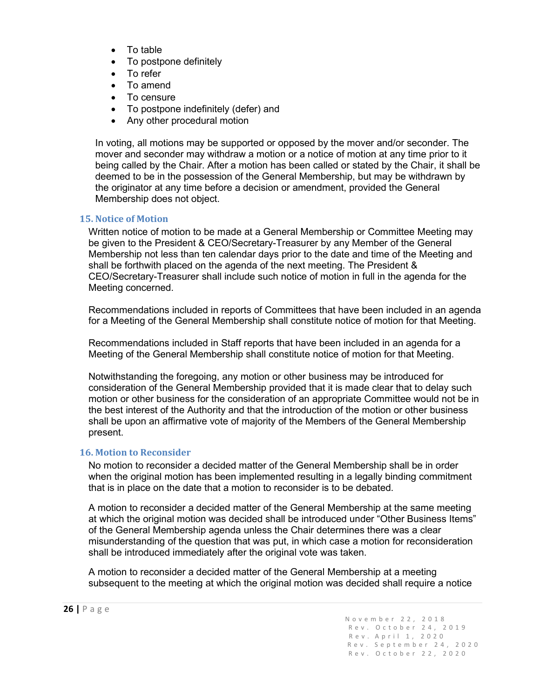- To table
- To postpone definitely
- To refer
- To amend
- To censure
- To postpone indefinitely (defer) and
- Any other procedural motion

In voting, all motions may be supported or opposed by the mover and/or seconder. The mover and seconder may withdraw a motion or a notice of motion at any time prior to it being called by the Chair. After a motion has been called or stated by the Chair, it shall be deemed to be in the possession of the General Membership, but may be withdrawn by the originator at any time before a decision or amendment, provided the General Membership does not object.

#### <span id="page-26-0"></span>**15. Notice of Motion**

Written notice of motion to be made at a General Membership or Committee Meeting may be given to the President & CEO/Secretary-Treasurer by any Member of the General Membership not less than ten calendar days prior to the date and time of the Meeting and shall be forthwith placed on the agenda of the next meeting. The President & CEO/Secretary-Treasurer shall include such notice of motion in full in the agenda for the Meeting concerned.

Recommendations included in reports of Committees that have been included in an agenda for a Meeting of the General Membership shall constitute notice of motion for that Meeting.

Recommendations included in Staff reports that have been included in an agenda for a Meeting of the General Membership shall constitute notice of motion for that Meeting.

Notwithstanding the foregoing, any motion or other business may be introduced for consideration of the General Membership provided that it is made clear that to delay such motion or other business for the consideration of an appropriate Committee would not be in the best interest of the Authority and that the introduction of the motion or other business shall be upon an affirmative vote of majority of the Members of the General Membership present.

#### <span id="page-26-1"></span>**16. Motion to Reconsider**

No motion to reconsider a decided matter of the General Membership shall be in order when the original motion has been implemented resulting in a legally binding commitment that is in place on the date that a motion to reconsider is to be debated.

A motion to reconsider a decided matter of the General Membership at the same meeting at which the original motion was decided shall be introduced under "Other Business Items" of the General Membership agenda unless the Chair determines there was a clear misunderstanding of the question that was put, in which case a motion for reconsideration shall be introduced immediately after the original vote was taken.

A motion to reconsider a decided matter of the General Membership at a meeting subsequent to the meeting at which the original motion was decided shall require a notice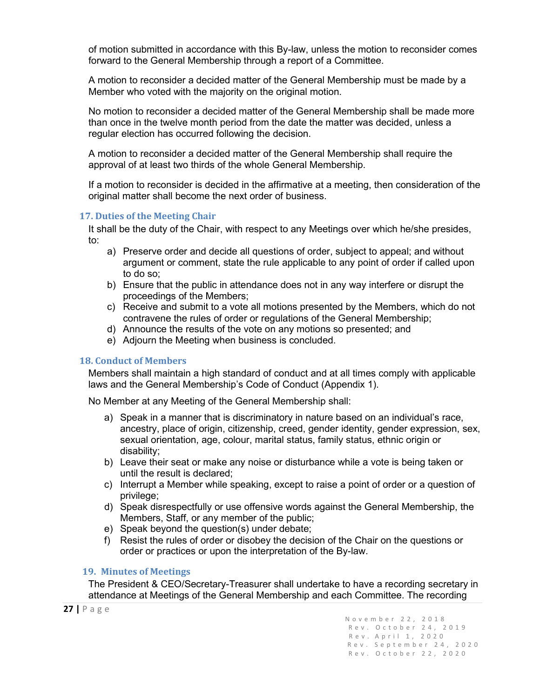of motion submitted in accordance with this By-law, unless the motion to reconsider comes forward to the General Membership through a report of a Committee.

A motion to reconsider a decided matter of the General Membership must be made by a Member who voted with the majority on the original motion.

No motion to reconsider a decided matter of the General Membership shall be made more than once in the twelve month period from the date the matter was decided, unless a regular election has occurred following the decision.

A motion to reconsider a decided matter of the General Membership shall require the approval of at least two thirds of the whole General Membership.

If a motion to reconsider is decided in the affirmative at a meeting, then consideration of the original matter shall become the next order of business.

#### <span id="page-27-0"></span>**17. Duties of the Meeting Chair**

It shall be the duty of the Chair, with respect to any Meetings over which he/she presides, to:

- a) Preserve order and decide all questions of order, subject to appeal; and without argument or comment, state the rule applicable to any point of order if called upon to do so;
- b) Ensure that the public in attendance does not in any way interfere or disrupt the proceedings of the Members;
- c) Receive and submit to a vote all motions presented by the Members, which do not contravene the rules of order or regulations of the General Membership;
- d) Announce the results of the vote on any motions so presented; and
- e) Adjourn the Meeting when business is concluded.

#### <span id="page-27-1"></span>**18. Conduct of Members**

Members shall maintain a high standard of conduct and at all times comply with applicable laws and the General Membership's Code of Conduct (Appendix 1).

No Member at any Meeting of the General Membership shall:

- a) Speak in a manner that is discriminatory in nature based on an individual's race, ancestry, place of origin, citizenship, creed, gender identity, gender expression, sex, sexual orientation, age, colour, marital status, family status, ethnic origin or disability;
- b) Leave their seat or make any noise or disturbance while a vote is being taken or until the result is declared;
- c) Interrupt a Member while speaking, except to raise a point of order or a question of privilege;
- d) Speak disrespectfully or use offensive words against the General Membership, the Members, Staff, or any member of the public;
- e) Speak beyond the question(s) under debate;
- f) Resist the rules of order or disobey the decision of the Chair on the questions or order or practices or upon the interpretation of the By-law.

#### <span id="page-27-2"></span>**19. Minutes of Meetings**

The President & CEO/Secretary-Treasurer shall undertake to have a recording secretary in attendance at Meetings of the General Membership and each Committee. The recording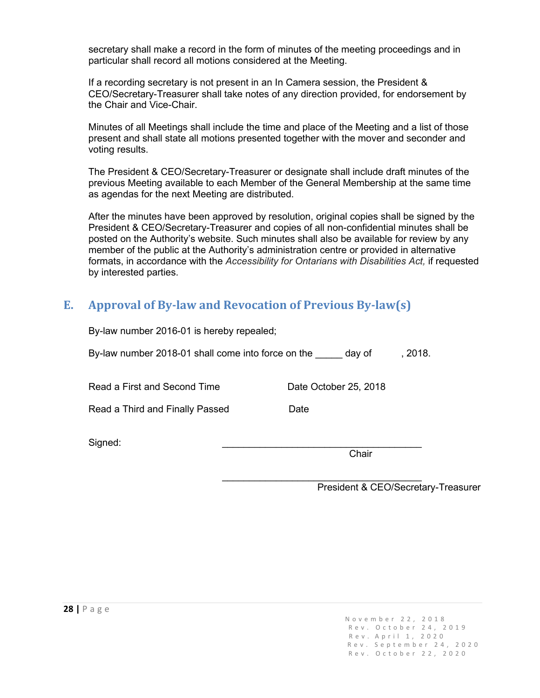secretary shall make a record in the form of minutes of the meeting proceedings and in particular shall record all motions considered at the Meeting.

If a recording secretary is not present in an In Camera session, the President & CEO/Secretary-Treasurer shall take notes of any direction provided, for endorsement by the Chair and Vice-Chair.

Minutes of all Meetings shall include the time and place of the Meeting and a list of those present and shall state all motions presented together with the mover and seconder and voting results.

The President & CEO/Secretary-Treasurer or designate shall include draft minutes of the previous Meeting available to each Member of the General Membership at the same time as agendas for the next Meeting are distributed.

After the minutes have been approved by resolution, original copies shall be signed by the President & CEO/Secretary-Treasurer and copies of all non-confidential minutes shall be posted on the Authority's website. Such minutes shall also be available for review by any member of the public at the Authority's administration centre or provided in alternative formats, in accordance with the *Accessibility for Ontarians with Disabilities Act,* if requested by interested parties.

## <span id="page-28-0"></span>**E. Approval of By-law and Revocation of Previous By-law(s)**

By-law number 2016-01 is hereby repealed;

Read a Third and Finally Passed Date

By-law number 2018-01 shall come into force on the day of , 2018.

Read a First and Second Time Date October 25, 2018

Signed: \_\_\_\_\_\_\_\_\_\_\_\_\_\_\_\_\_\_\_\_\_\_\_\_\_\_\_\_\_\_\_\_\_\_\_\_\_

Chair

 $\mathcal{L}_\text{max}$  , where  $\mathcal{L}_\text{max}$  is the set of  $\mathcal{L}_\text{max}$ President & CEO/Secretary-Treasurer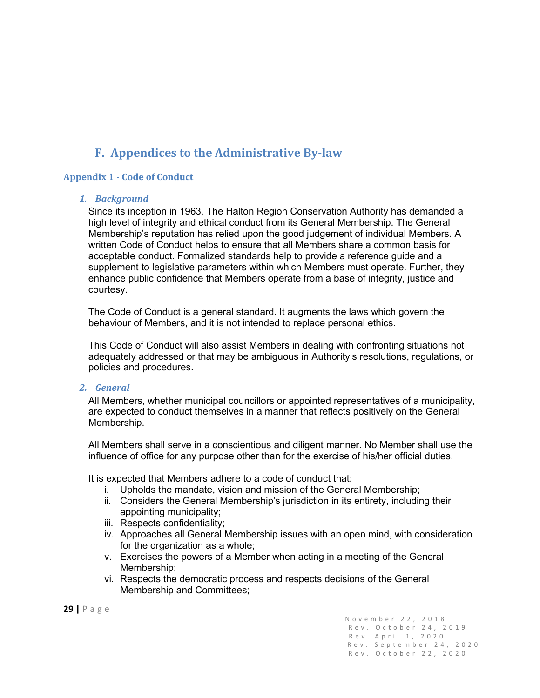## **F. Appendices to the Administrative By-law**

#### <span id="page-29-1"></span><span id="page-29-0"></span>**Appendix 1 - Code of Conduct**

#### *1. Background*

Since its inception in 1963, The Halton Region Conservation Authority has demanded a high level of integrity and ethical conduct from its General Membership. The General Membership's reputation has relied upon the good judgement of individual Members. A written Code of Conduct helps to ensure that all Members share a common basis for acceptable conduct. Formalized standards help to provide a reference guide and a supplement to legislative parameters within which Members must operate. Further, they enhance public confidence that Members operate from a base of integrity, justice and courtesy.

The Code of Conduct is a general standard. It augments the laws which govern the behaviour of Members, and it is not intended to replace personal ethics.

This Code of Conduct will also assist Members in dealing with confronting situations not adequately addressed or that may be ambiguous in Authority's resolutions, regulations, or policies and procedures.

#### *2. General*

All Members, whether municipal councillors or appointed representatives of a municipality, are expected to conduct themselves in a manner that reflects positively on the General Membership.

All Members shall serve in a conscientious and diligent manner. No Member shall use the influence of office for any purpose other than for the exercise of his/her official duties.

It is expected that Members adhere to a code of conduct that:

- i. Upholds the mandate, vision and mission of the General Membership;
- ii. Considers the General Membership's jurisdiction in its entirety, including their appointing municipality;
- iii. Respects confidentiality;
- iv. Approaches all General Membership issues with an open mind, with consideration for the organization as a whole;
- v. Exercises the powers of a Member when acting in a meeting of the General Membership;
- vi. Respects the democratic process and respects decisions of the General Membership and Committees;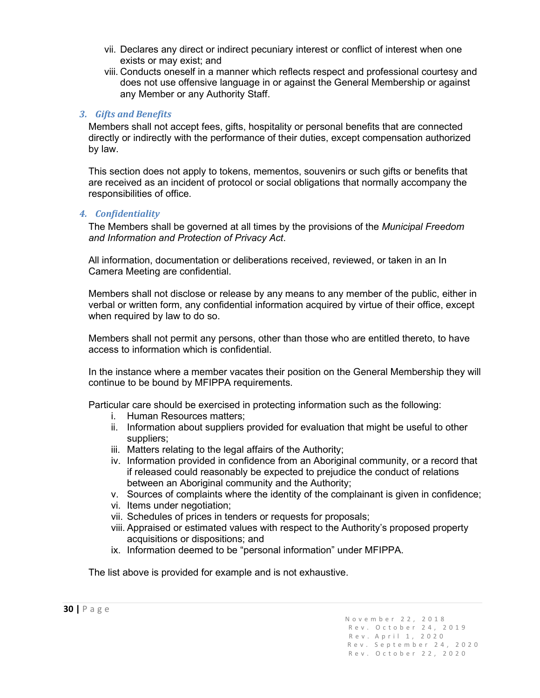- vii. Declares any direct or indirect pecuniary interest or conflict of interest when one exists or may exist; and
- viii. Conducts oneself in a manner which reflects respect and professional courtesy and does not use offensive language in or against the General Membership or against any Member or any Authority Staff.

#### *3. Gifts and Benefits*

Members shall not accept fees, gifts, hospitality or personal benefits that are connected directly or indirectly with the performance of their duties, except compensation authorized by law.

This section does not apply to tokens, mementos, souvenirs or such gifts or benefits that are received as an incident of protocol or social obligations that normally accompany the responsibilities of office.

#### *4. Confidentiality*

The Members shall be governed at all times by the provisions of the *Municipal Freedom and Information and Protection of Privacy Act*.

All information, documentation or deliberations received, reviewed, or taken in an In Camera Meeting are confidential.

Members shall not disclose or release by any means to any member of the public, either in verbal or written form, any confidential information acquired by virtue of their office, except when required by law to do so.

Members shall not permit any persons, other than those who are entitled thereto, to have access to information which is confidential.

In the instance where a member vacates their position on the General Membership they will continue to be bound by MFIPPA requirements.

Particular care should be exercised in protecting information such as the following:

- i. Human Resources matters;
- ii. Information about suppliers provided for evaluation that might be useful to other suppliers;
- iii. Matters relating to the legal affairs of the Authority;
- iv. Information provided in confidence from an Aboriginal community, or a record that if released could reasonably be expected to prejudice the conduct of relations between an Aboriginal community and the Authority;
- v. Sources of complaints where the identity of the complainant is given in confidence;
- vi. Items under negotiation;
- vii. Schedules of prices in tenders or requests for proposals;
- viii. Appraised or estimated values with respect to the Authority's proposed property acquisitions or dispositions; and
- ix. Information deemed to be "personal information" under MFIPPA.

The list above is provided for example and is not exhaustive.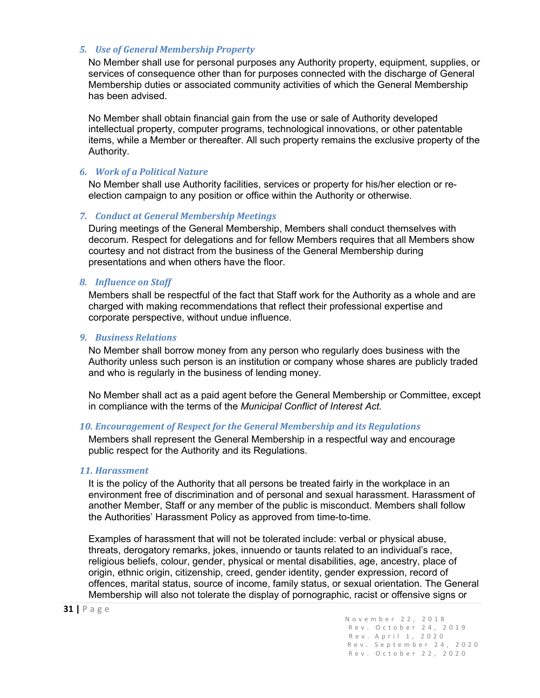#### *5. Use of General Membership Property*

No Member shall use for personal purposes any Authority property, equipment, supplies, or services of consequence other than for purposes connected with the discharge of General Membership duties or associated community activities of which the General Membership has been advised.

No Member shall obtain financial gain from the use or sale of Authority developed intellectual property, computer programs, technological innovations, or other patentable items, while a Member or thereafter. All such property remains the exclusive property of the Authority.

#### *6. Work of a Political Nature*

No Member shall use Authority facilities, services or property for his/her election or reelection campaign to any position or office within the Authority or otherwise.

#### *7. Conduct at General Membership Meetings*

During meetings of the General Membership, Members shall conduct themselves with decorum. Respect for delegations and for fellow Members requires that all Members show courtesy and not distract from the business of the General Membership during presentations and when others have the floor.

#### *8. Influence on Staff*

Members shall be respectful of the fact that Staff work for the Authority as a whole and are charged with making recommendations that reflect their professional expertise and corporate perspective, without undue influence.

#### *9. Business Relations*

No Member shall borrow money from any person who regularly does business with the Authority unless such person is an institution or company whose shares are publicly traded and who is regularly in the business of lending money.

No Member shall act as a paid agent before the General Membership or Committee, except in compliance with the terms of the *Municipal Conflict of Interest Act.*

#### *10. Encouragement of Respect for the General Membership and its Regulations*

Members shall represent the General Membership in a respectful way and encourage public respect for the Authority and its Regulations.

#### *11. Harassment*

It is the policy of the Authority that all persons be treated fairly in the workplace in an environment free of discrimination and of personal and sexual harassment. Harassment of another Member, Staff or any member of the public is misconduct. Members shall follow the Authorities' Harassment Policy as approved from time-to-time.

Examples of harassment that will not be tolerated include: verbal or physical abuse, threats, derogatory remarks, jokes, innuendo or taunts related to an individual's race, religious beliefs, colour, gender, physical or mental disabilities, age, ancestry, place of origin, ethnic origin, citizenship, creed, gender identity, gender expression, record of offences, marital status, source of income, family status, or sexual orientation. The General Membership will also not tolerate the display of pornographic, racist or offensive signs or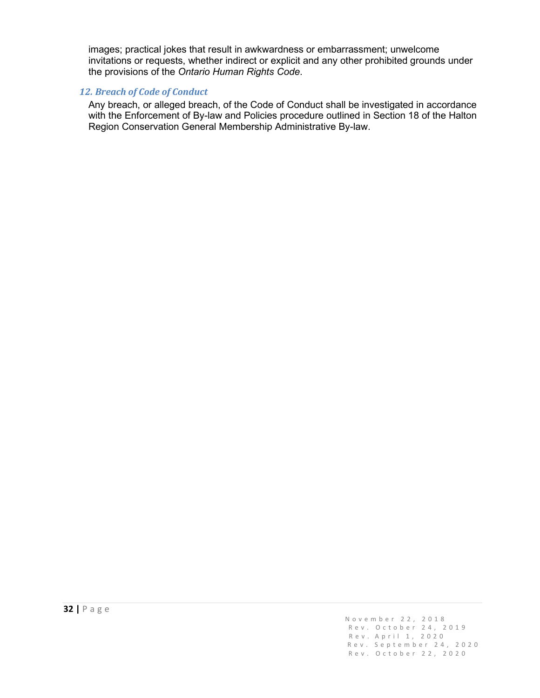images; practical jokes that result in awkwardness or embarrassment; unwelcome invitations or requests, whether indirect or explicit and any other prohibited grounds under the provisions of the *Ontario Human Rights Code*.

#### *12. Breach of Code of Conduct*

Any breach, or alleged breach, of the Code of Conduct shall be investigated in accordance with the Enforcement of By-law and Policies procedure outlined in Section 18 of the Halton Region Conservation General Membership Administrative By-law.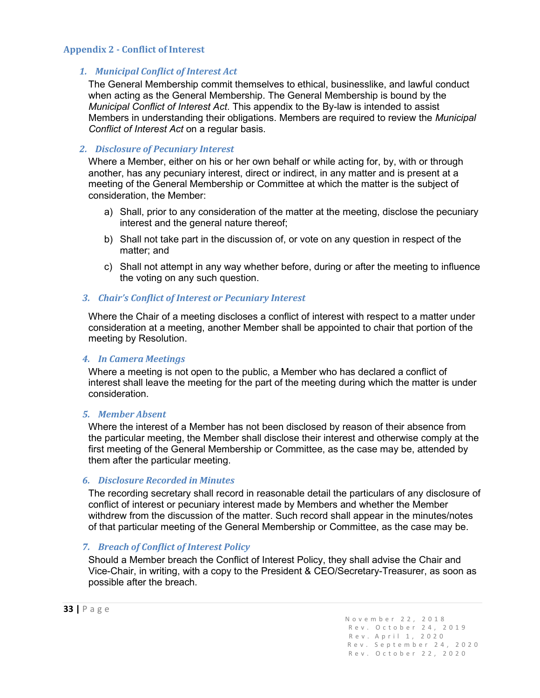#### <span id="page-33-0"></span>**Appendix 2 - Conflict of Interest**

#### *1. Municipal Conflict of Interest Act*

The General Membership commit themselves to ethical, businesslike, and lawful conduct when acting as the General Membership. The General Membership is bound by the *Municipal Conflict of Interest Act*. This appendix to the By-law is intended to assist Members in understanding their obligations. Members are required to review the *Municipal Conflict of Interest Act* on a regular basis.

#### *2. Disclosure of Pecuniary Interest*

Where a Member, either on his or her own behalf or while acting for, by, with or through another, has any pecuniary interest, direct or indirect, in any matter and is present at a meeting of the General Membership or Committee at which the matter is the subject of consideration, the Member:

- a) Shall, prior to any consideration of the matter at the meeting, disclose the pecuniary interest and the general nature thereof;
- b) Shall not take part in the discussion of, or vote on any question in respect of the matter; and
- c) Shall not attempt in any way whether before, during or after the meeting to influence the voting on any such question.

#### *3. Chair's Conflict of Interest or Pecuniary Interest*

Where the Chair of a meeting discloses a conflict of interest with respect to a matter under consideration at a meeting, another Member shall be appointed to chair that portion of the meeting by Resolution.

#### *4. In Camera Meetings*

Where a meeting is not open to the public, a Member who has declared a conflict of interest shall leave the meeting for the part of the meeting during which the matter is under consideration.

#### *5. Member Absent*

Where the interest of a Member has not been disclosed by reason of their absence from the particular meeting, the Member shall disclose their interest and otherwise comply at the first meeting of the General Membership or Committee, as the case may be, attended by them after the particular meeting.

#### *6. Disclosure Recorded in Minutes*

The recording secretary shall record in reasonable detail the particulars of any disclosure of conflict of interest or pecuniary interest made by Members and whether the Member withdrew from the discussion of the matter. Such record shall appear in the minutes/notes of that particular meeting of the General Membership or Committee, as the case may be.

#### *7. Breach of Conflict of Interest Policy*

Should a Member breach the Conflict of Interest Policy, they shall advise the Chair and Vice-Chair, in writing, with a copy to the President & CEO/Secretary-Treasurer, as soon as possible after the breach.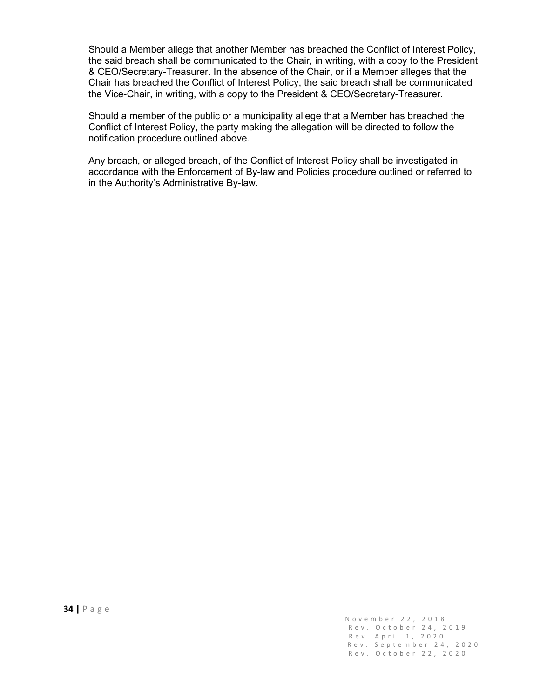Should a Member allege that another Member has breached the Conflict of Interest Policy, the said breach shall be communicated to the Chair, in writing, with a copy to the President & CEO/Secretary-Treasurer. In the absence of the Chair, or if a Member alleges that the Chair has breached the Conflict of Interest Policy, the said breach shall be communicated the Vice-Chair, in writing, with a copy to the President & CEO/Secretary-Treasurer.

Should a member of the public or a municipality allege that a Member has breached the Conflict of Interest Policy, the party making the allegation will be directed to follow the notification procedure outlined above.

Any breach, or alleged breach, of the Conflict of Interest Policy shall be investigated in accordance with the Enforcement of By-law and Policies procedure outlined or referred to in the Authority's Administrative By-law.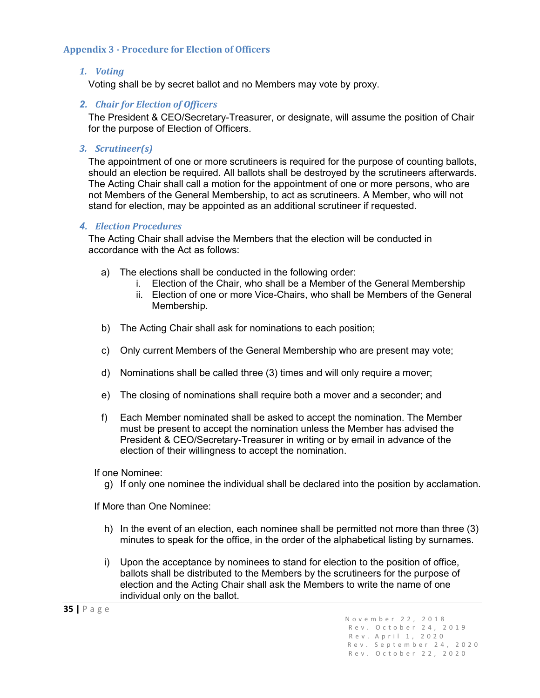#### <span id="page-35-0"></span>**Appendix 3 - Procedure for Election of Officers**

#### *1. Voting*

Voting shall be by secret ballot and no Members may vote by proxy.

#### *2. Chair for Election of Officers*

The President & CEO/Secretary-Treasurer, or designate, will assume the position of Chair for the purpose of Election of Officers.

#### *3. Scrutineer(s)*

The appointment of one or more scrutineers is required for the purpose of counting ballots, should an election be required. All ballots shall be destroyed by the scrutineers afterwards. The Acting Chair shall call a motion for the appointment of one or more persons, who are not Members of the General Membership, to act as scrutineers. A Member, who will not stand for election, may be appointed as an additional scrutineer if requested.

#### *4. Election Procedures*

The Acting Chair shall advise the Members that the election will be conducted in accordance with the Act as follows:

- a) The elections shall be conducted in the following order:
	- i. Election of the Chair, who shall be a Member of the General Membership
	- ii. Election of one or more Vice-Chairs, who shall be Members of the General Membership.
- b) The Acting Chair shall ask for nominations to each position;
- c) Only current Members of the General Membership who are present may vote;
- d) Nominations shall be called three (3) times and will only require a mover;
- e) The closing of nominations shall require both a mover and a seconder; and
- f) Each Member nominated shall be asked to accept the nomination. The Member must be present to accept the nomination unless the Member has advised the President & CEO/Secretary-Treasurer in writing or by email in advance of the election of their willingness to accept the nomination.

If one Nominee:

g) If only one nominee the individual shall be declared into the position by acclamation.

If More than One Nominee:

- h) In the event of an election, each nominee shall be permitted not more than three (3) minutes to speak for the office, in the order of the alphabetical listing by surnames.
- i) Upon the acceptance by nominees to stand for election to the position of office, ballots shall be distributed to the Members by the scrutineers for the purpose of election and the Acting Chair shall ask the Members to write the name of one individual only on the ballot.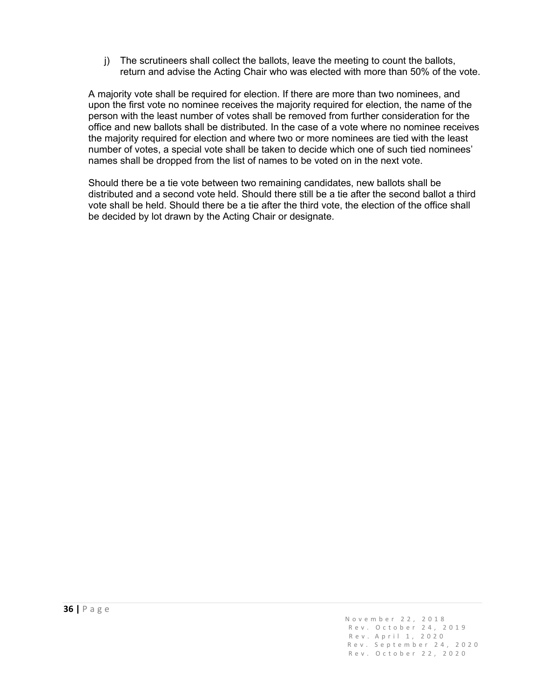j) The scrutineers shall collect the ballots, leave the meeting to count the ballots, return and advise the Acting Chair who was elected with more than 50% of the vote.

A majority vote shall be required for election. If there are more than two nominees, and upon the first vote no nominee receives the majority required for election, the name of the person with the least number of votes shall be removed from further consideration for the office and new ballots shall be distributed. In the case of a vote where no nominee receives the majority required for election and where two or more nominees are tied with the least number of votes, a special vote shall be taken to decide which one of such tied nominees' names shall be dropped from the list of names to be voted on in the next vote.

Should there be a tie vote between two remaining candidates, new ballots shall be distributed and a second vote held. Should there still be a tie after the second ballot a third vote shall be held. Should there be a tie after the third vote, the election of the office shall be decided by lot drawn by the Acting Chair or designate.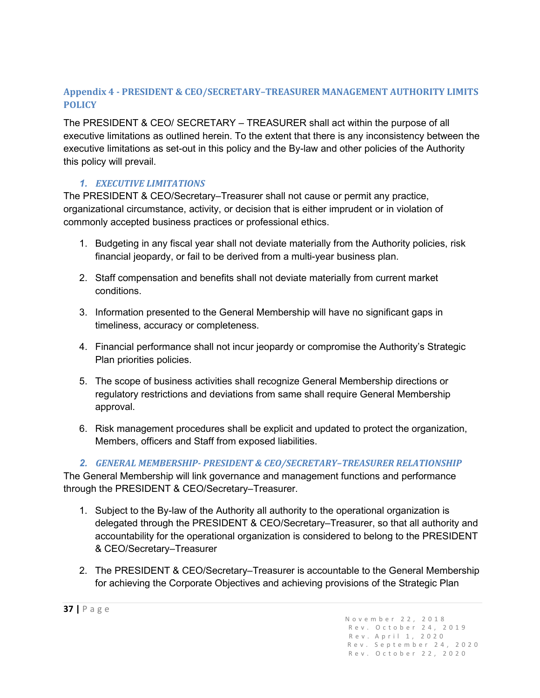## <span id="page-37-0"></span>**Appendix 4 - PRESIDENT & CEO/SECRETARY–TREASURER MANAGEMENT AUTHORITY LIMITS POLICY**

The PRESIDENT & CEO/ SECRETARY – TREASURER shall act within the purpose of all executive limitations as outlined herein. To the extent that there is any inconsistency between the executive limitations as set-out in this policy and the By-law and other policies of the Authority this policy will prevail.

#### *1. EXECUTIVE LIMITATIONS*

The PRESIDENT & CEO/Secretary–Treasurer shall not cause or permit any practice, organizational circumstance, activity, or decision that is either imprudent or in violation of commonly accepted business practices or professional ethics.

- 1. Budgeting in any fiscal year shall not deviate materially from the Authority policies, risk financial jeopardy, or fail to be derived from a multi-year business plan.
- 2. Staff compensation and benefits shall not deviate materially from current market conditions.
- 3. Information presented to the General Membership will have no significant gaps in timeliness, accuracy or completeness.
- 4. Financial performance shall not incur jeopardy or compromise the Authority's Strategic Plan priorities policies.
- 5. The scope of business activities shall recognize General Membership directions or regulatory restrictions and deviations from same shall require General Membership approval.
- 6. Risk management procedures shall be explicit and updated to protect the organization, Members, officers and Staff from exposed liabilities.

*2. GENERAL MEMBERSHIP- PRESIDENT & CEO/SECRETARY–TREASURER RELATIONSHIP* The General Membership will link governance and management functions and performance

through the PRESIDENT & CEO/Secretary–Treasurer.

- 1. Subject to the By-law of the Authority all authority to the operational organization is delegated through the PRESIDENT & CEO/Secretary–Treasurer, so that all authority and accountability for the operational organization is considered to belong to the PRESIDENT & CEO/Secretary–Treasurer
- 2. The PRESIDENT & CEO/Secretary–Treasurer is accountable to the General Membership for achieving the Corporate Objectives and achieving provisions of the Strategic Plan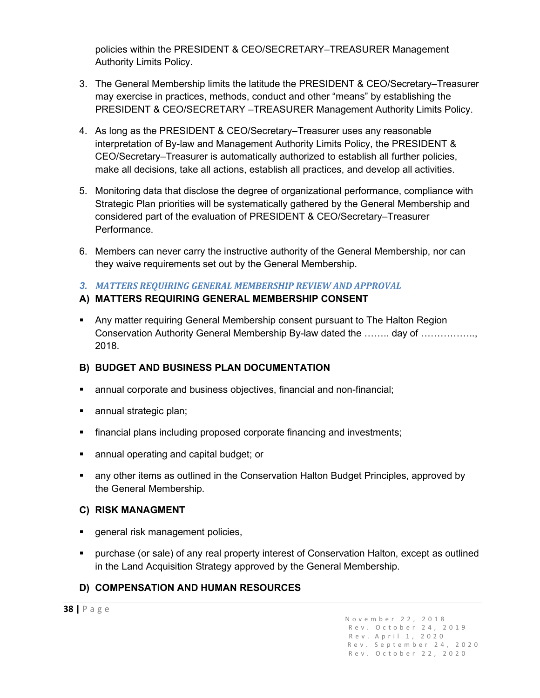policies within the PRESIDENT & CEO/SECRETARY–TREASURER Management Authority Limits Policy.

- 3. The General Membership limits the latitude the PRESIDENT & CEO/Secretary–Treasurer may exercise in practices, methods, conduct and other "means" by establishing the PRESIDENT & CEO/SECRETARY –TREASURER Management Authority Limits Policy.
- 4. As long as the PRESIDENT & CEO/Secretary–Treasurer uses any reasonable interpretation of By-law and Management Authority Limits Policy, the PRESIDENT & CEO/Secretary–Treasurer is automatically authorized to establish all further policies, make all decisions, take all actions, establish all practices, and develop all activities.
- 5. Monitoring data that disclose the degree of organizational performance, compliance with Strategic Plan priorities will be systematically gathered by the General Membership and considered part of the evaluation of PRESIDENT & CEO/Secretary–Treasurer Performance.
- 6. Members can never carry the instructive authority of the General Membership, nor can they waive requirements set out by the General Membership.
- *3. MATTERS REQUIRING GENERAL MEMBERSHIP REVIEW AND APPROVAL*

## **A) MATTERS REQUIRING GENERAL MEMBERSHIP CONSENT**

 Any matter requiring General Membership consent pursuant to The Halton Region Conservation Authority General Membership By-law dated the …….. day of …………….., 2018.

## **B) BUDGET AND BUSINESS PLAN DOCUMENTATION**

- annual corporate and business objectives, financial and non-financial;
- **annual strategic plan;**
- financial plans including proposed corporate financing and investments;
- **annual operating and capital budget; or**
- any other items as outlined in the Conservation Halton Budget Principles, approved by the General Membership.

#### **C) RISK MANAGMENT**

- **qeneral risk management policies,**
- purchase (or sale) of any real property interest of Conservation Halton, except as outlined in the Land Acquisition Strategy approved by the General Membership.

## **D) COMPENSATION AND HUMAN RESOURCES**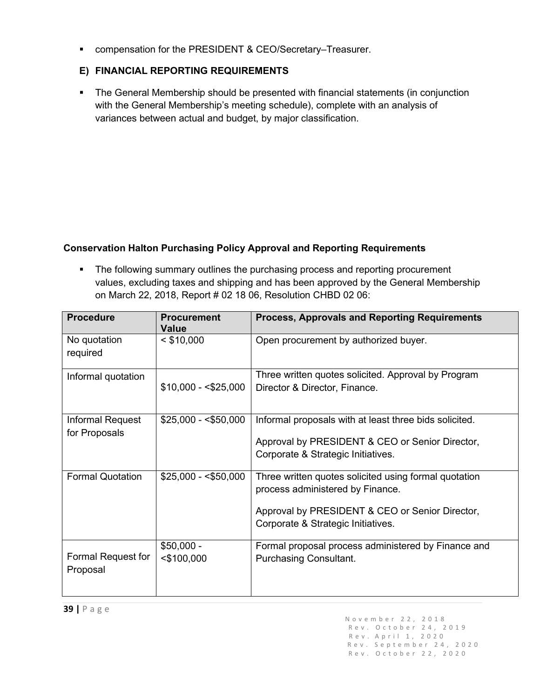■ compensation for the PRESIDENT & CEO/Secretary–Treasurer.

## **E) FINANCIAL REPORTING REQUIREMENTS**

• The General Membership should be presented with financial statements (in conjunction with the General Membership's meeting schedule), complete with an analysis of variances between actual and budget, by major classification.

## **Conservation Halton Purchasing Policy Approval and Reporting Requirements**

• The following summary outlines the purchasing process and reporting procurement values, excluding taxes and shipping and has been approved by the General Membership on March 22, 2018, Report # 02 18 06, Resolution CHBD 02 06:

| <b>Procedure</b>                  | <b>Procurement</b><br>Value  | <b>Process, Approvals and Reporting Requirements</b>                                                                                                                               |
|-----------------------------------|------------------------------|------------------------------------------------------------------------------------------------------------------------------------------------------------------------------------|
| No quotation<br>required          | $<$ \$10,000                 | Open procurement by authorized buyer.                                                                                                                                              |
| Informal quotation                | $$10,000 - $25,000$          | Three written quotes solicited. Approval by Program<br>Director & Director, Finance.                                                                                               |
| Informal Request<br>for Proposals | $$25,000 - $50,000$          | Informal proposals with at least three bids solicited.<br>Approval by PRESIDENT & CEO or Senior Director,<br>Corporate & Strategic Initiatives.                                    |
| <b>Formal Quotation</b>           | $$25,000 - $50,000$          | Three written quotes solicited using formal quotation<br>process administered by Finance.<br>Approval by PRESIDENT & CEO or Senior Director,<br>Corporate & Strategic Initiatives. |
| Formal Request for<br>Proposal    | $$50,000 -$<br>$<$ \$100,000 | Formal proposal process administered by Finance and<br><b>Purchasing Consultant.</b>                                                                                               |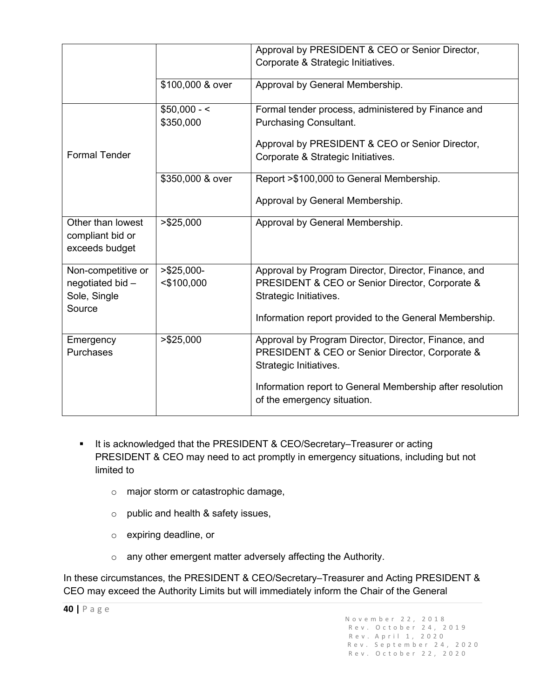|                                                                 |                                | Approval by PRESIDENT & CEO or Senior Director,<br>Corporate & Strategic Initiatives.                                                                                                                                         |
|-----------------------------------------------------------------|--------------------------------|-------------------------------------------------------------------------------------------------------------------------------------------------------------------------------------------------------------------------------|
|                                                                 | \$100,000 & over               | Approval by General Membership.                                                                                                                                                                                               |
|                                                                 | $$50,000 - <$<br>\$350,000     | Formal tender process, administered by Finance and<br><b>Purchasing Consultant.</b>                                                                                                                                           |
| <b>Formal Tender</b>                                            |                                | Approval by PRESIDENT & CEO or Senior Director,<br>Corporate & Strategic Initiatives.                                                                                                                                         |
|                                                                 | \$350,000 & over               | Report >\$100,000 to General Membership.<br>Approval by General Membership.                                                                                                                                                   |
| Other than lowest<br>compliant bid or<br>exceeds budget         | > \$25,000                     | Approval by General Membership.                                                                                                                                                                                               |
| Non-competitive or<br>negotiated bid-<br>Sole, Single<br>Source | $>$ \$25,000-<br>$<$ \$100,000 | Approval by Program Director, Director, Finance, and<br>PRESIDENT & CEO or Senior Director, Corporate &<br>Strategic Initiatives.<br>Information report provided to the General Membership.                                   |
| Emergency<br><b>Purchases</b>                                   | > \$25,000                     | Approval by Program Director, Director, Finance, and<br>PRESIDENT & CEO or Senior Director, Corporate &<br>Strategic Initiatives.<br>Information report to General Membership after resolution<br>of the emergency situation. |

- It is acknowledged that the PRESIDENT & CEO/Secretary–Treasurer or acting PRESIDENT & CEO may need to act promptly in emergency situations, including but not limited to
	- o major storm or catastrophic damage,
	- o public and health & safety issues,
	- o expiring deadline, or
	- o any other emergent matter adversely affecting the Authority.

In these circumstances, the PRESIDENT & CEO/Secretary–Treasurer and Acting PRESIDENT & CEO may exceed the Authority Limits but will immediately inform the Chair of the General